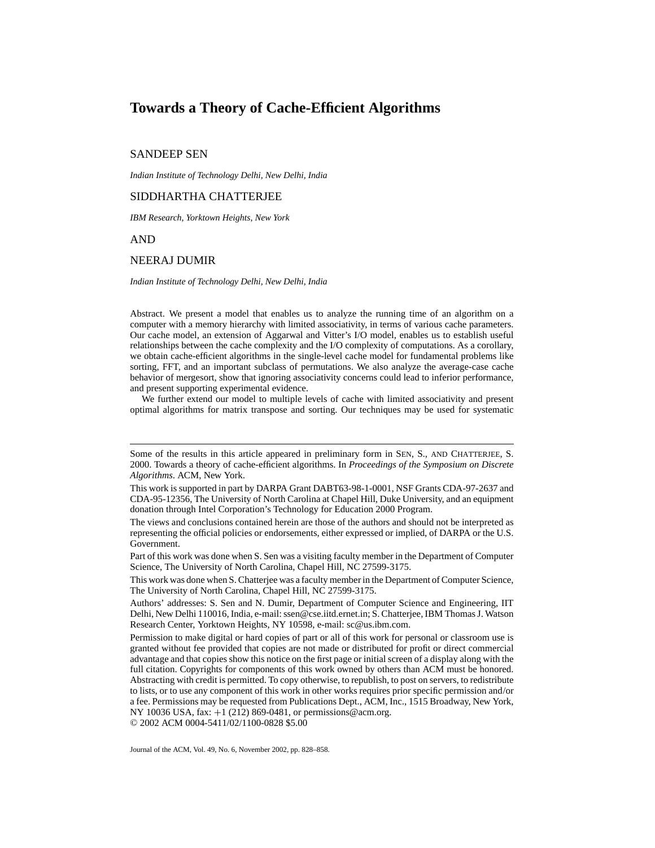# **Towards a Theory of Cache-Efficient Algorithms**

#### SANDEEP SEN

*Indian Institute of Technology Delhi, New Delhi, India*

#### SIDDHARTHA CHATTERJEE

*IBM Research, Yorktown Heights, New York*

AND

#### NEERAJ DUMIR

*Indian Institute of Technology Delhi, New Delhi, India*

Abstract. We present a model that enables us to analyze the running time of an algorithm on a computer with a memory hierarchy with limited associativity, in terms of various cache parameters. Our cache model, an extension of Aggarwal and Vitter's I/O model, enables us to establish useful relationships between the cache complexity and the I/O complexity of computations. As a corollary, we obtain cache-efficient algorithms in the single-level cache model for fundamental problems like sorting, FFT, and an important subclass of permutations. We also analyze the average-case cache behavior of mergesort, show that ignoring associativity concerns could lead to inferior performance, and present supporting experimental evidence.

We further extend our model to multiple levels of cache with limited associativity and present optimal algorithms for matrix transpose and sorting. Our techniques may be used for systematic

Part of this work was done when S. Sen was a visiting faculty member in the Department of Computer Science, The University of North Carolina, Chapel Hill, NC 27599-3175.

This work was done when S. Chatterjee was a faculty member in the Department of Computer Science, The University of North Carolina, Chapel Hill, NC 27599-3175.

Authors' addresses: S. Sen and N. Dumir, Department of Computer Science and Engineering, IIT Delhi, New Delhi 110016, India, e-mail: ssen@cse.iitd.ernet.in; S. Chatterjee, IBM Thomas J. Watson Research Center, Yorktown Heights, NY 10598, e-mail: sc@us.ibm.com.

Permission to make digital or hard copies of part or all of this work for personal or classroom use is granted without fee provided that copies are not made or distributed for profit or direct commercial advantage and that copies show this notice on the first page or initial screen of a display along with the full citation. Copyrights for components of this work owned by others than ACM must be honored. Abstracting with credit is permitted. To copy otherwise, to republish, to post on servers, to redistribute to lists, or to use any component of this work in other works requires prior specific permission and/or a fee. Permissions may be requested from Publications Dept., ACM, Inc., 1515 Broadway, New York, NY 10036 USA, fax: +1 (212) 869-0481, or permissions@acm.org. °<sup>C</sup> 2002 ACM 0004-5411/02/1100-0828 \$5.00

Journal of the ACM, Vol. 49, No. 6, November 2002, pp. 828–858.

Some of the results in this article appeared in preliminary form in SEN, S., AND CHATTERJEE, S. 2000. Towards a theory of cache-efficient algorithms. In *Proceedings of the Symposium on Discrete Algorithms*. ACM, New York.

This work is supported in part by DARPA Grant DABT63-98-1-0001, NSF Grants CDA-97-2637 and CDA-95-12356, The University of North Carolina at Chapel Hill, Duke University, and an equipment donation through Intel Corporation's Technology for Education 2000 Program.

The views and conclusions contained herein are those of the authors and should not be interpreted as representing the official policies or endorsements, either expressed or implied, of DARPA or the U.S. Government.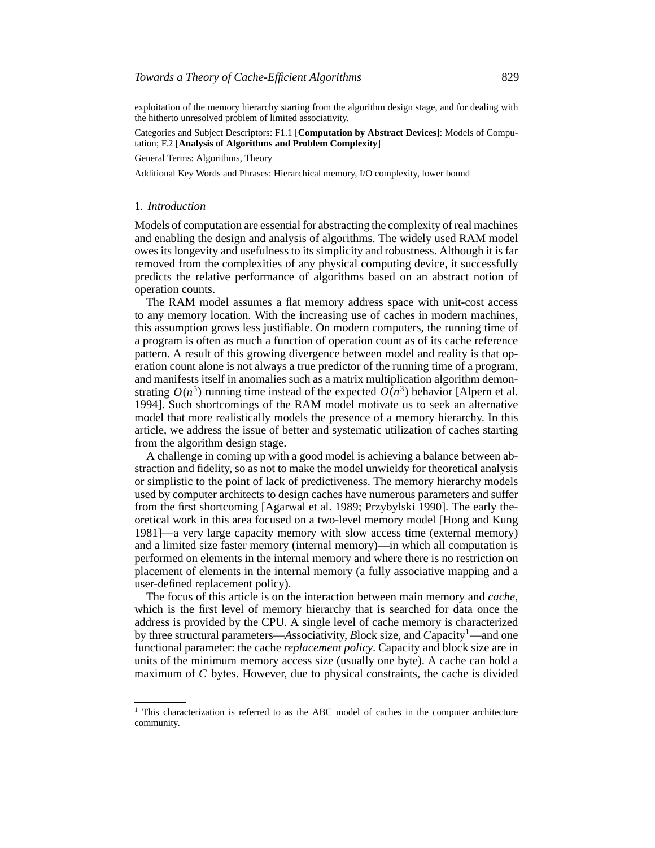exploitation of the memory hierarchy starting from the algorithm design stage, and for dealing with the hitherto unresolved problem of limited associativity.

Categories and Subject Descriptors: F1.1 [**Computation by Abstract Devices**]: Models of Computation; F.2 [**Analysis of Algorithms and Problem Complexity**]

General Terms: Algorithms, Theory

Additional Key Words and Phrases: Hierarchical memory, I/O complexity, lower bound

#### 1*. Introduction*

Models of computation are essential for abstracting the complexity of real machines and enabling the design and analysis of algorithms. The widely used RAM model owes its longevity and usefulness to its simplicity and robustness. Although it is far removed from the complexities of any physical computing device, it successfully predicts the relative performance of algorithms based on an abstract notion of operation counts.

The RAM model assumes a flat memory address space with unit-cost access to any memory location. With the increasing use of caches in modern machines, this assumption grows less justifiable. On modern computers, the running time of a program is often as much a function of operation count as of its cache reference pattern. A result of this growing divergence between model and reality is that operation count alone is not always a true predictor of the running time of a program, and manifests itself in anomalies such as a matrix multiplication algorithm demonstrating  $O(n^5)$  running time instead of the expected  $O(n^3)$  behavior [Alpern et al. 1994]. Such shortcomings of the RAM model motivate us to seek an alternative model that more realistically models the presence of a memory hierarchy. In this article, we address the issue of better and systematic utilization of caches starting from the algorithm design stage.

A challenge in coming up with a good model is achieving a balance between abstraction and fidelity, so as not to make the model unwieldy for theoretical analysis or simplistic to the point of lack of predictiveness. The memory hierarchy models used by computer architects to design caches have numerous parameters and suffer from the first shortcoming [Agarwal et al. 1989; Przybylski 1990]. The early theoretical work in this area focused on a two-level memory model [Hong and Kung 1981]—a very large capacity memory with slow access time (external memory) and a limited size faster memory (internal memory)—in which all computation is performed on elements in the internal memory and where there is no restriction on placement of elements in the internal memory (a fully associative mapping and a user-defined replacement policy).

The focus of this article is on the interaction between main memory and *cache*, which is the first level of memory hierarchy that is searched for data once the address is provided by the CPU. A single level of cache memory is characterized by three structural parameters—*A*ssociativity, *B*lock size, and *C*apacity1—and one functional parameter: the cache *replacement policy*. Capacity and block size are in units of the minimum memory access size (usually one byte). A cache can hold a maximum of *C* bytes. However, due to physical constraints, the cache is divided

 $1$ . This characterization is referred to as the ABC model of caches in the computer architecture community.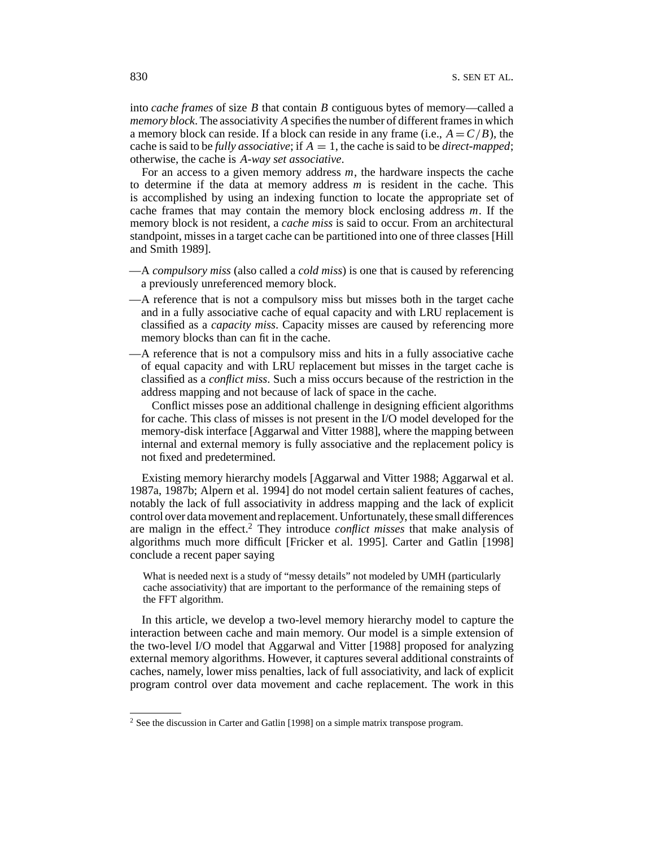into *cache frames* of size *B* that contain *B* contiguous bytes of memory—called a *memory block*. The associativity *A* specifies the number of different frames in which a memory block can reside. If a block can reside in any frame (i.e.,  $A = C/B$ ), the cache is said to be *fully associative*; if  $A = 1$ , the cache is said to be *direct-mapped*; otherwise, the cache is *A-way set associative*.

For an access to a given memory address *m*, the hardware inspects the cache to determine if the data at memory address *m* is resident in the cache. This is accomplished by using an indexing function to locate the appropriate set of cache frames that may contain the memory block enclosing address *m*. If the memory block is not resident, a *cache miss* is said to occur. From an architectural standpoint, misses in a target cache can be partitioned into one of three classes [Hill and Smith 1989].

- —A *compulsory miss* (also called a *cold miss*) is one that is caused by referencing a previously unreferenced memory block.
- —A reference that is not a compulsory miss but misses both in the target cache and in a fully associative cache of equal capacity and with LRU replacement is classified as a *capacity miss*. Capacity misses are caused by referencing more memory blocks than can fit in the cache.
- —A reference that is not a compulsory miss and hits in a fully associative cache of equal capacity and with LRU replacement but misses in the target cache is classified as a *conflict miss*. Such a miss occurs because of the restriction in the address mapping and not because of lack of space in the cache.

Conflict misses pose an additional challenge in designing efficient algorithms for cache. This class of misses is not present in the I/O model developed for the memory-disk interface [Aggarwal and Vitter 1988], where the mapping between internal and external memory is fully associative and the replacement policy is not fixed and predetermined.

Existing memory hierarchy models [Aggarwal and Vitter 1988; Aggarwal et al. 1987a, 1987b; Alpern et al. 1994] do not model certain salient features of caches, notably the lack of full associativity in address mapping and the lack of explicit control over data movement and replacement. Unfortunately, these small differences are malign in the effect.2 They introduce *conflict misses* that make analysis of algorithms much more difficult [Fricker et al. 1995]. Carter and Gatlin [1998] conclude a recent paper saying

What is needed next is a study of "messy details" not modeled by UMH (particularly cache associativity) that are important to the performance of the remaining steps of the FFT algorithm.

In this article, we develop a two-level memory hierarchy model to capture the interaction between cache and main memory. Our model is a simple extension of the two-level I/O model that Aggarwal and Vitter [1988] proposed for analyzing external memory algorithms. However, it captures several additional constraints of caches, namely, lower miss penalties, lack of full associativity, and lack of explicit program control over data movement and cache replacement. The work in this

<sup>2</sup> See the discussion in Carter and Gatlin [1998] on a simple matrix transpose program.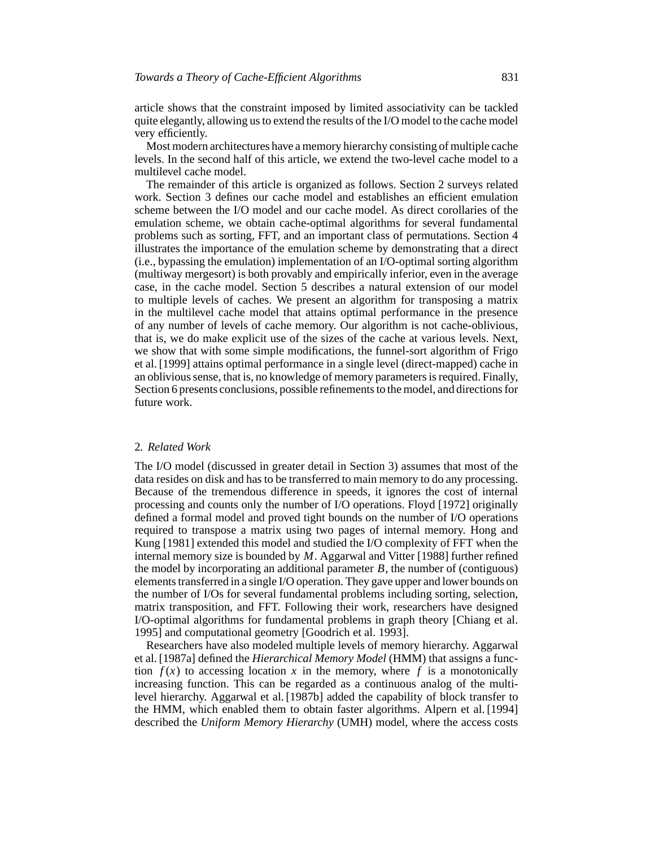article shows that the constraint imposed by limited associativity can be tackled quite elegantly, allowing us to extend the results of the I/O model to the cache model very efficiently.

Most modern architectures have a memory hierarchy consisting of multiple cache levels. In the second half of this article, we extend the two-level cache model to a multilevel cache model.

The remainder of this article is organized as follows. Section 2 surveys related work. Section 3 defines our cache model and establishes an efficient emulation scheme between the I/O model and our cache model. As direct corollaries of the emulation scheme, we obtain cache-optimal algorithms for several fundamental problems such as sorting, FFT, and an important class of permutations. Section 4 illustrates the importance of the emulation scheme by demonstrating that a direct (i.e., bypassing the emulation) implementation of an I/O-optimal sorting algorithm (multiway mergesort) is both provably and empirically inferior, even in the average case, in the cache model. Section 5 describes a natural extension of our model to multiple levels of caches. We present an algorithm for transposing a matrix in the multilevel cache model that attains optimal performance in the presence of any number of levels of cache memory. Our algorithm is not cache-oblivious, that is, we do make explicit use of the sizes of the cache at various levels. Next, we show that with some simple modifications, the funnel-sort algorithm of Frigo et al. [1999] attains optimal performance in a single level (direct-mapped) cache in an oblivious sense, that is, no knowledge of memory parameters is required. Finally, Section 6 presents conclusions, possible refinements to the model, and directions for future work.

## 2*. Related Work*

The I/O model (discussed in greater detail in Section 3) assumes that most of the data resides on disk and has to be transferred to main memory to do any processing. Because of the tremendous difference in speeds, it ignores the cost of internal processing and counts only the number of I/O operations. Floyd [1972] originally defined a formal model and proved tight bounds on the number of I/O operations required to transpose a matrix using two pages of internal memory. Hong and Kung [1981] extended this model and studied the I/O complexity of FFT when the internal memory size is bounded by *M*. Aggarwal and Vitter [1988] further refined the model by incorporating an additional parameter *B*, the number of (contiguous) elements transferred in a single I/O operation. They gave upper and lower bounds on the number of I/Os for several fundamental problems including sorting, selection, matrix transposition, and FFT. Following their work, researchers have designed I/O-optimal algorithms for fundamental problems in graph theory [Chiang et al. 1995] and computational geometry [Goodrich et al. 1993].

Researchers have also modeled multiple levels of memory hierarchy. Aggarwal et al. [1987a] defined the *Hierarchical Memory Model* (HMM) that assigns a function  $f(x)$  to accessing location x in the memory, where f is a monotonically increasing function. This can be regarded as a continuous analog of the multilevel hierarchy. Aggarwal et al. [1987b] added the capability of block transfer to the HMM, which enabled them to obtain faster algorithms. Alpern et al. [1994] described the *Uniform Memory Hierarchy* (UMH) model, where the access costs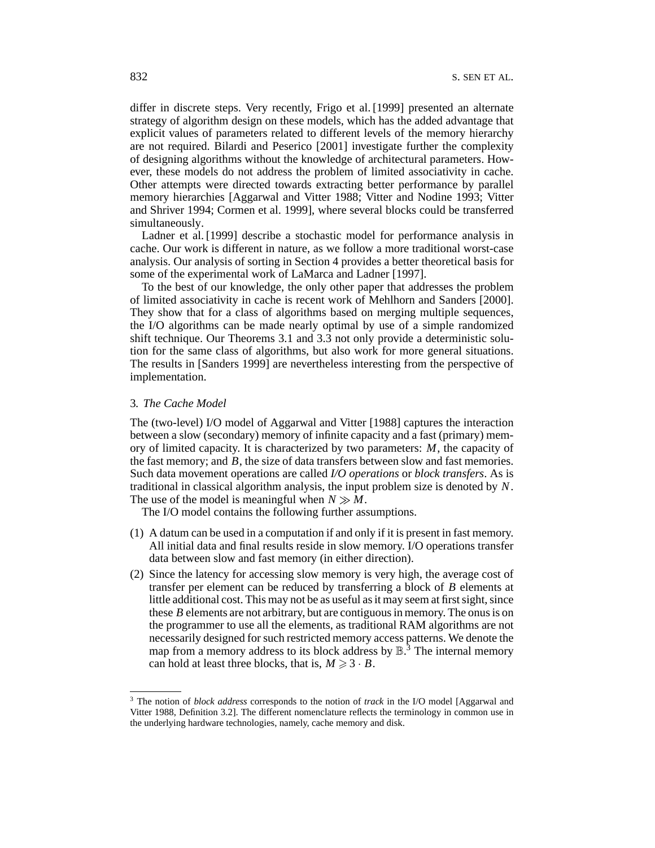differ in discrete steps. Very recently, Frigo et al. [1999] presented an alternate strategy of algorithm design on these models, which has the added advantage that explicit values of parameters related to different levels of the memory hierarchy are not required. Bilardi and Peserico [2001] investigate further the complexity of designing algorithms without the knowledge of architectural parameters. However, these models do not address the problem of limited associativity in cache. Other attempts were directed towards extracting better performance by parallel memory hierarchies [Aggarwal and Vitter 1988; Vitter and Nodine 1993; Vitter and Shriver 1994; Cormen et al. 1999], where several blocks could be transferred simultaneously.

Ladner et al. [1999] describe a stochastic model for performance analysis in cache. Our work is different in nature, as we follow a more traditional worst-case analysis. Our analysis of sorting in Section 4 provides a better theoretical basis for some of the experimental work of LaMarca and Ladner [1997].

To the best of our knowledge, the only other paper that addresses the problem of limited associativity in cache is recent work of Mehlhorn and Sanders [2000]. They show that for a class of algorithms based on merging multiple sequences, the I/O algorithms can be made nearly optimal by use of a simple randomized shift technique. Our Theorems 3.1 and 3.3 not only provide a deterministic solution for the same class of algorithms, but also work for more general situations. The results in [Sanders 1999] are nevertheless interesting from the perspective of implementation.

### 3*. The Cache Model*

The (two-level) I/O model of Aggarwal and Vitter [1988] captures the interaction between a slow (secondary) memory of infinite capacity and a fast (primary) memory of limited capacity. It is characterized by two parameters: *M*, the capacity of the fast memory; and *B*, the size of data transfers between slow and fast memories. Such data movement operations are called *I/O operations* or *block transfers*. As is traditional in classical algorithm analysis, the input problem size is denoted by *N*. The use of the model is meaningful when  $N \gg M$ .

The I/O model contains the following further assumptions.

- (1) A datum can be used in a computation if and only if it is present in fast memory. All initial data and final results reside in slow memory. I/O operations transfer data between slow and fast memory (in either direction).
- (2) Since the latency for accessing slow memory is very high, the average cost of transfer per element can be reduced by transferring a block of *B* elements at little additional cost. This may not be as useful as it may seem at first sight, since these *B* elements are not arbitrary, but are contiguous in memory. The onus is on the programmer to use all the elements, as traditional RAM algorithms are not necessarily designed for such restricted memory access patterns. We denote the map from a memory address to its block address by  $\mathbb{B}^3$ . The internal memory can hold at least three blocks, that is,  $M \geq 3 \cdot B$ .

<sup>3</sup> The notion of *block address* corresponds to the notion of *track* in the I/O model [Aggarwal and Vitter 1988, Definition 3.2]. The different nomenclature reflects the terminology in common use in the underlying hardware technologies, namely, cache memory and disk.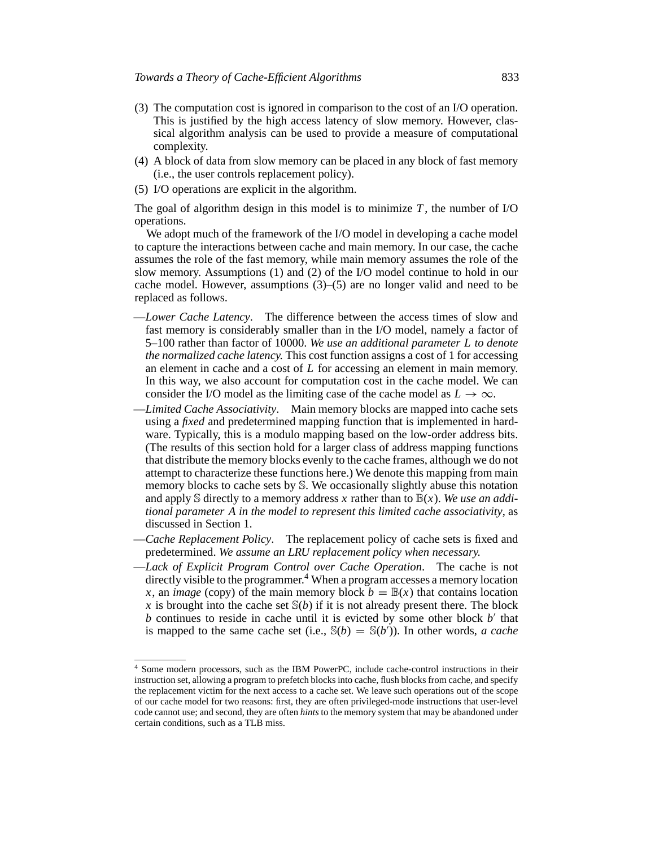- (3) The computation cost is ignored in comparison to the cost of an I/O operation. This is justified by the high access latency of slow memory. However, classical algorithm analysis can be used to provide a measure of computational complexity.
- (4) A block of data from slow memory can be placed in any block of fast memory (i.e., the user controls replacement policy).
- (5) I/O operations are explicit in the algorithm.

The goal of algorithm design in this model is to minimize  $T$ , the number of I/O operations.

We adopt much of the framework of the I/O model in developing a cache model to capture the interactions between cache and main memory. In our case, the cache assumes the role of the fast memory, while main memory assumes the role of the slow memory. Assumptions (1) and (2) of the I/O model continue to hold in our cache model. However, assumptions  $(3)$ – $(5)$  are no longer valid and need to be replaced as follows.

- —*Lower Cache Latency*. The difference between the access times of slow and fast memory is considerably smaller than in the I/O model, namely a factor of 5–100 rather than factor of 10000. *We use an additional parameter L to denote the normalized cache latency.* This cost function assigns a cost of 1 for accessing an element in cache and a cost of *L* for accessing an element in main memory. In this way, we also account for computation cost in the cache model. We can consider the I/O model as the limiting case of the cache model as  $L \to \infty$ .
- —*Limited Cache Associativity*. Main memory blocks are mapped into cache sets using a *fixed* and predetermined mapping function that is implemented in hardware. Typically, this is a modulo mapping based on the low-order address bits. (The results of this section hold for a larger class of address mapping functions that distribute the memory blocks evenly to the cache frames, although we do not attempt to characterize these functions here.) We denote this mapping from main memory blocks to cache sets by S. We occasionally slightly abuse this notation and apply S directly to a memory address x rather than to  $\mathbb{B}(x)$ . We use an addi*tional parameter A in the model to represent this limited cache associativity*, as discussed in Section 1.
- —*Cache Replacement Policy*. The replacement policy of cache sets is fixed and predetermined. *We assume an LRU replacement policy when necessary.*
- —*Lack of Explicit Program Control over Cache Operation*. The cache is not directly visible to the programmer.<sup>4</sup> When a program accesses a memory location *x*, an *image* (copy) of the main memory block  $b = \mathbb{B}(x)$  that contains location *x* is brought into the cache set  $S(b)$  if it is not already present there. The block  $b$  continues to reside in cache until it is evicted by some other block  $b'$  that is mapped to the same cache set (i.e.,  $\mathbb{S}(b) = \mathbb{S}(b')$ ). In other words, *a cache*

<sup>4</sup> Some modern processors, such as the IBM PowerPC, include cache-control instructions in their instruction set, allowing a program to prefetch blocks into cache, flush blocks from cache, and specify the replacement victim for the next access to a cache set. We leave such operations out of the scope of our cache model for two reasons: first, they are often privileged-mode instructions that user-level code cannot use; and second, they are often *hints* to the memory system that may be abandoned under certain conditions, such as a TLB miss.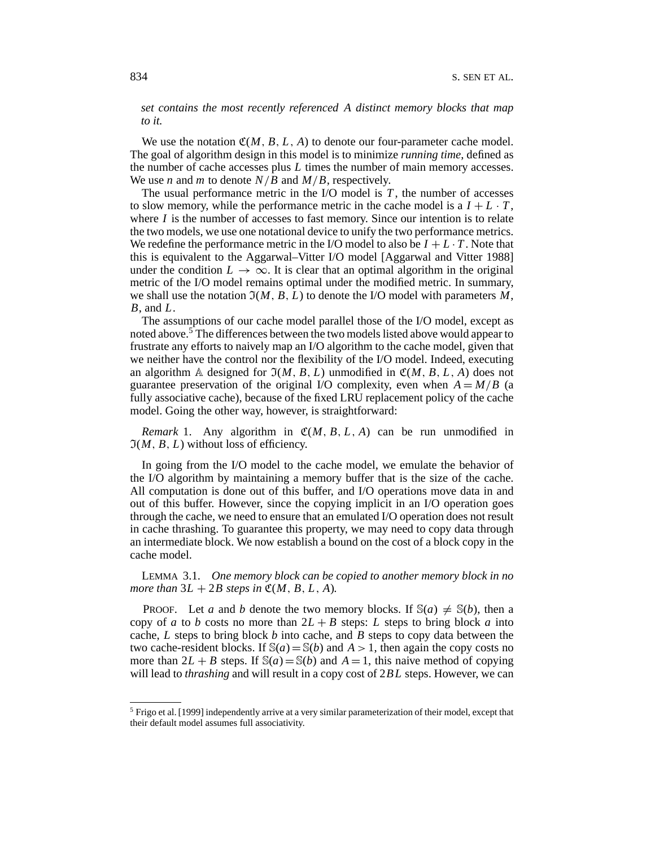*set contains the most recently referenced A distinct memory blocks that map to it.*

We use the notation  $\mathfrak{C}(M, B, L, A)$  to denote our four-parameter cache model. The goal of algorithm design in this model is to minimize *running time*, defined as the number of cache accesses plus *L* times the number of main memory accesses. We use *n* and *m* to denote  $N/B$  and  $M/B$ , respectively.

The usual performance metric in the  $I/O$  model is  $T$ , the number of accesses to slow memory, while the performance metric in the cache model is a  $I + L \cdot T$ , where *I* is the number of accesses to fast memory. Since our intention is to relate the two models, we use one notational device to unify the two performance metrics. We redefine the performance metric in the I/O model to also be  $I + L \cdot T$ . Note that this is equivalent to the Aggarwal–Vitter I/O model [Aggarwal and Vitter 1988] under the condition  $L \to \infty$ . It is clear that an optimal algorithm in the original metric of the I/O model remains optimal under the modified metric. In summary, we shall use the notation  $\mathfrak{I}(M, B, L)$  to denote the I/O model with parameters M, *B*, and *L*.

The assumptions of our cache model parallel those of the I/O model, except as noted above.<sup>5</sup> The differences between the two models listed above would appear to frustrate any efforts to naively map an I/O algorithm to the cache model, given that we neither have the control nor the flexibility of the I/O model. Indeed, executing an algorithm A designed for  $\mathfrak{I}(M, B, L)$  unmodified in  $\mathfrak{C}(M, B, L, A)$  does not guarantee preservation of the original I/O complexity, even when  $A = M/B$  (a fully associative cache), because of the fixed LRU replacement policy of the cache model. Going the other way, however, is straightforward:

*Remark* 1. Any algorithm in  $\mathfrak{C}(M, B, L, A)$  can be run unmodified in  $\mathfrak{I}(M, B, L)$  without loss of efficiency.

In going from the I/O model to the cache model, we emulate the behavior of the I/O algorithm by maintaining a memory buffer that is the size of the cache. All computation is done out of this buffer, and I/O operations move data in and out of this buffer. However, since the copying implicit in an I/O operation goes through the cache, we need to ensure that an emulated I/O operation does not result in cache thrashing. To guarantee this property, we may need to copy data through an intermediate block. We now establish a bound on the cost of a block copy in the cache model.

LEMMA 3.1. *One memory block can be copied to another memory block in no more than*  $3L + 2B$  *steps in*  $\mathfrak{C}(M, B, L, A)$ *.* 

**PROOF.** Let *a* and *b* denote the two memory blocks. If  $\mathbb{S}(a) \neq \mathbb{S}(b)$ , then a copy of *a* to *b* costs no more than  $2L + B$  steps: *L* steps to bring block *a* into cache, *L* steps to bring block *b* into cache, and *B* steps to copy data between the two cache-resident blocks. If  $\mathbb{S}(a) = \mathbb{S}(b)$  and  $A > 1$ , then again the copy costs no more than  $2L + B$  steps. If  $\mathbb{S}(a) = \mathbb{S}(b)$  and  $A = 1$ , this naive method of copying will lead to *thrashing* and will result in a copy cost of 2*BL* steps. However, we can

<sup>&</sup>lt;sup>5</sup> Frigo et al. [1999] independently arrive at a very similar parameterization of their model, except that their default model assumes full associativity.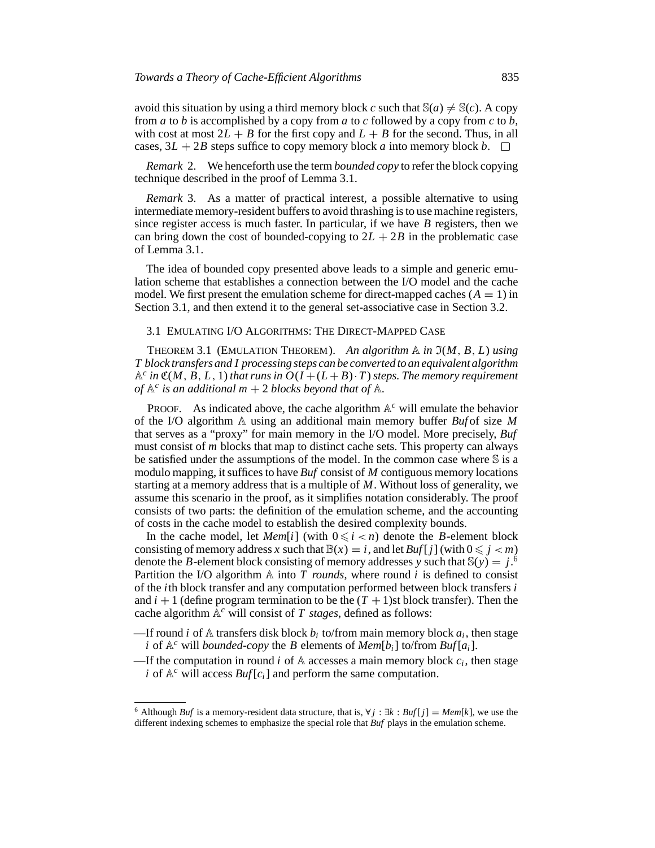avoid this situation by using a third memory block *c* such that  $\mathcal{S}(a) \neq \mathcal{S}(c)$ . A copy from *a* to *b* is accomplished by a copy from *a* to *c* followed by a copy from *c* to *b*, with cost at most  $2L + B$  for the first copy and  $L + B$  for the second. Thus, in all cases,  $3L + 2B$  steps suffice to copy memory block *a* into memory block *b*.  $\square$ 

*Remark* 2. We henceforth use the term *bounded copy* to refer the block copying technique described in the proof of Lemma 3.1.

*Remark* 3. As a matter of practical interest, a possible alternative to using intermediate memory-resident buffers to avoid thrashing is to use machine registers, since register access is much faster. In particular, if we have *B* registers, then we can bring down the cost of bounded-copying to  $2L + 2B$  in the problematic case of Lemma 3.1.

The idea of bounded copy presented above leads to a simple and generic emulation scheme that establishes a connection between the I/O model and the cache model. We first present the emulation scheme for direct-mapped caches  $(A = 1)$  in Section 3.1, and then extend it to the general set-associative case in Section 3.2.

### 3.1 EMULATING I/O ALGORITHMS: THE DIRECT-MAPPED CASE

THEOREM 3.1 (EMULATION THEOREM). An algorithm  $\mathbb A$  in  $\mathfrak I(M, B, L)$  using *T block transfers and I processing steps can be converted to an equivalent algorithm*  $A^c$  *in*  $\mathfrak{C}(M, B, L, 1)$  *that runs in*  $O(I+(L+B)\cdot T)$  *steps. The memory requirement of*  $A^c$  *is an additional m* + 2 *blocks beyond that of*  $A$ *.* 

**PROOF.** As indicated above, the cache algorithm  $A<sup>c</sup>$  will emulate the behavior of the I/O algorithm A using an additional main memory buffer *Buf* of size *M* that serves as a "proxy" for main memory in the I/O model. More precisely, *Buf* must consist of *m* blocks that map to distinct cache sets. This property can always be satisfied under the assumptions of the model. In the common case where S is a modulo mapping, it suffices to have *Buf* consist of *M* contiguous memory locations starting at a memory address that is a multiple of *M*. Without loss of generality, we assume this scenario in the proof, as it simplifies notation considerably. The proof consists of two parts: the definition of the emulation scheme, and the accounting of costs in the cache model to establish the desired complexity bounds.

In the cache model, let *Mem*[*i*] (with  $0 \le i \le n$ ) denote the *B*-element block consisting of memory address *x* such that  $\mathbb{B}(x) = i$ , and let *Buf* [*j*] (with  $0 \leq j \leq m$ ) denote the *B*-element block consisting of memory addresses *y* such that  $\mathbb{S}(y) = j$ .<sup>6</sup> Partition the I/O algorithm  $\mathbb A$  into *T rounds*, where round *i* is defined to consist of the *i*th block transfer and any computation performed between block transfers *i* and  $i + 1$  (define program termination to be the  $(T + 1)$ st block transfer). Then the cache algorithm  $A^c$  will consist of *T stages*, defined as follows:

- —If round *i* of  $A$  transfers disk block  $b_i$  to/from main memory block  $a_i$ , then stage *i* of  $A^c$  will *bounded-copy* the *B* elements of *Mem*[ $b_i$ ] to/from *Buf*[ $a_i$ ].
- —If the computation in round *i* of  $\mathbb A$  accesses a main memory block  $c_i$ , then stage *i* of  $A^c$  will access  $Buf[c_i]$  and perform the same computation.

<sup>6</sup> Although *Buf* is a memory-resident data structure, that is, ∀ *j* : ∃*k* : *Buf*[*j*] = *Mem*[*k*], we use the different indexing schemes to emphasize the special role that *Buf* plays in the emulation scheme.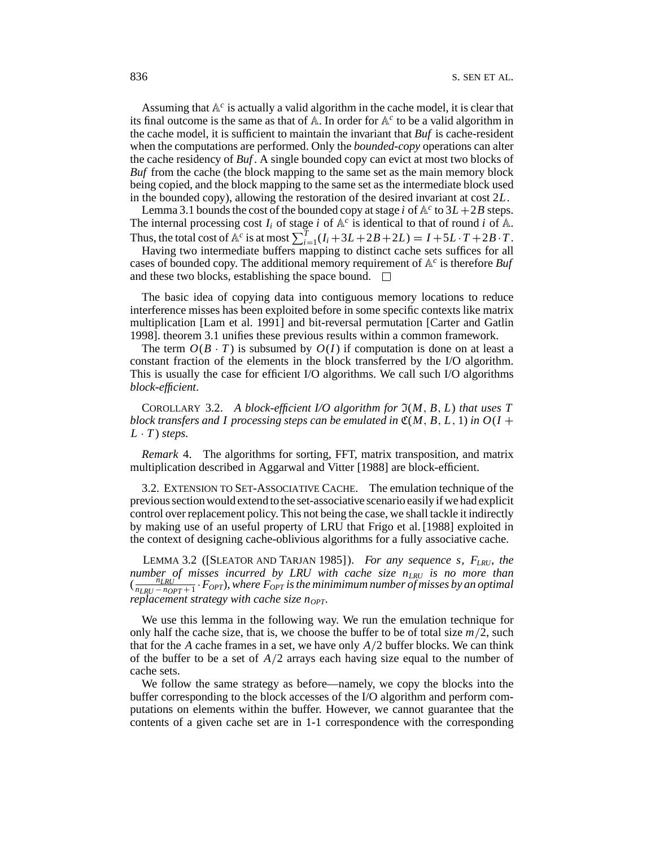Assuming that  $A<sup>c</sup>$  is actually a valid algorithm in the cache model, it is clear that its final outcome is the same as that of  $A$ . In order for  $A<sup>c</sup>$  to be a valid algorithm in the cache model, it is sufficient to maintain the invariant that *Buf* is cache-resident when the computations are performed. Only the *bounded-copy* operations can alter the cache residency of *Buf* . A single bounded copy can evict at most two blocks of *Buf* from the cache (the block mapping to the same set as the main memory block being copied, and the block mapping to the same set as the intermediate block used in the bounded copy), allowing the restoration of the desired invariant at cost 2*L*.

Lemma 3.1 bounds the cost of the bounded copy at stage *i* of  $A^c$  to  $3L+2B$  steps. The internal processing cost  $I_i$  of stage *i* of  $A^c$  is identical to that of round *i* of  $A$ . Thus, the total cost of  $A^c$  is at most  $\sum_{i=1}^T (I_i + 3L + 2B + 2L) = I + 5L \cdot T + 2B \cdot T$ .

Having two intermediate buffers mapping to distinct cache sets suffices for all cases of bounded copy. The additional memory requirement of A*<sup>c</sup>* is therefore *Buf* and these two blocks, establishing the space bound.  $\Box$ 

The basic idea of copying data into contiguous memory locations to reduce interference misses has been exploited before in some specific contexts like matrix multiplication [Lam et al. 1991] and bit-reversal permutation [Carter and Gatlin 1998]. theorem 3.1 unifies these previous results within a common framework.

The term  $O(B \cdot T)$  is subsumed by  $O(I)$  if computation is done on at least a constant fraction of the elements in the block transferred by the I/O algorithm. This is usually the case for efficient I/O algorithms. We call such I/O algorithms *block-efficient*.

COROLLARY 3.2. *A block-efficient I/O algorithm for* I(*M*, *B*, *L*) *that uses T block transfers and I processing steps can be emulated in*  $\mathfrak{C}(M, B, L, 1)$  *in*  $O(I +$  $L \cdot T$ *) steps.* 

*Remark* 4. The algorithms for sorting, FFT, matrix transposition, and matrix multiplication described in Aggarwal and Vitter [1988] are block-efficient.

3.2. EXTENSION TO SET-ASSOCIATIVE CACHE. The emulation technique of the previous section would extend to the set-associative scenario easily if we had explicit control over replacement policy. This not being the case, we shall tackle it indirectly by making use of an useful property of LRU that Frigo et al. [1988] exploited in the context of designing cache-oblivious algorithms for a fully associative cache.

LEMMA 3.2 ([SLEATOR AND TARJAN 1985]). *For any sequence s, FLRU, the number of misses incurred by LRU with cache size n<sub>LRU</sub> is no more than*  $\left(\frac{n_{LRU}}{n_{LRU} - n_{OPT} + 1} \cdot F_{OPT}\right)$ , where  $F_{OPT}$  *is the minimimum number of misses by an optimal replacement strategy with cache size*  $n_{OPT}$ *.* 

We use this lemma in the following way. We run the emulation technique for only half the cache size, that is, we choose the buffer to be of total size  $m/2$ , such that for the *A* cache frames in a set, we have only *A*/2 buffer blocks. We can think of the buffer to be a set of  $A/2$  arrays each having size equal to the number of cache sets.

We follow the same strategy as before—namely, we copy the blocks into the buffer corresponding to the block accesses of the I/O algorithm and perform computations on elements within the buffer. However, we cannot guarantee that the contents of a given cache set are in 1-1 correspondence with the corresponding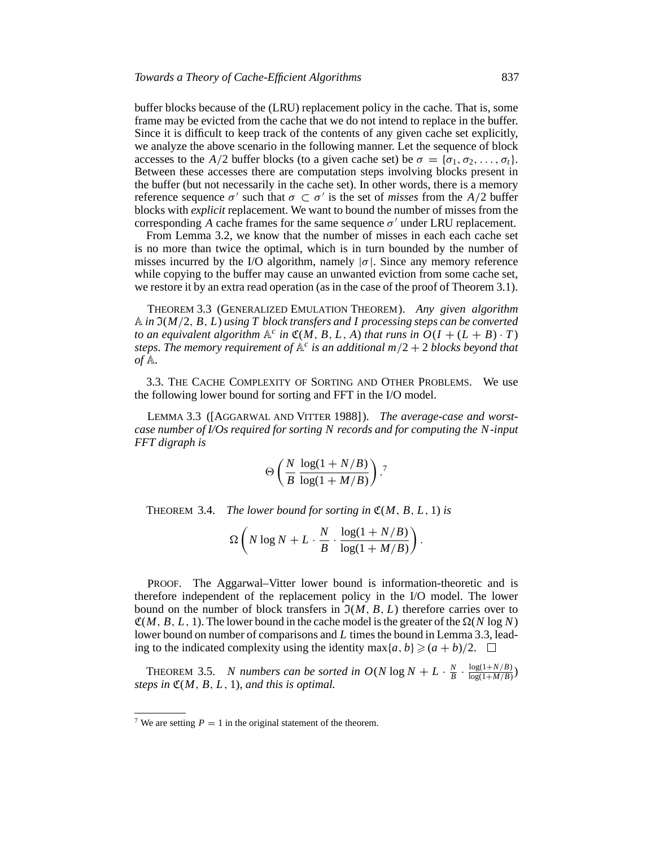buffer blocks because of the (LRU) replacement policy in the cache. That is, some frame may be evicted from the cache that we do not intend to replace in the buffer. Since it is difficult to keep track of the contents of any given cache set explicitly, we analyze the above scenario in the following manner. Let the sequence of block accesses to the *A*/2 buffer blocks (to a given cache set) be  $\sigma = {\sigma_1, \sigma_2, ..., \sigma_t}$ . Between these accesses there are computation steps involving blocks present in the buffer (but not necessarily in the cache set). In other words, there is a memory reference sequence  $\sigma'$  such that  $\sigma \subset \sigma'$  is the set of *misses* from the *A*/2 buffer blocks with *explicit* replacement. We want to bound the number of misses from the corresponding *A* cache frames for the same sequence  $\sigma'$  under LRU replacement.

From Lemma 3.2, we know that the number of misses in each each cache set is no more than twice the optimal, which is in turn bounded by the number of misses incurred by the I/O algorithm, namely  $|\sigma|$ . Since any memory reference while copying to the buffer may cause an unwanted eviction from some cache set, we restore it by an extra read operation (as in the case of the proof of Theorem 3.1).

THEOREM 3.3 (GENERALIZED EMULATION THEOREM). *Any given algorithm* A *in* I(*M*/2, *B*, *L*) *using T block transfers and I processing steps can be converted to an equivalent algorithm*  $A^c$  *in*  $\mathfrak{C}(M, B, L, A)$  *that runs in*  $O(I + (L + B) \cdot T)$ *steps. The memory requirement of*  $A^c$  *is an additional m/2 + 2 blocks beyond that of* A*.*

3.3. THE CACHE COMPLEXITY OF SORTING AND OTHER PROBLEMS. We use the following lower bound for sorting and FFT in the I/O model.

LEMMA 3.3 ([AGGARWAL AND VITTER 1988]). *The average-case and worstcase number of I/Os required for sorting N records and for computing the N-input FFT digraph is*

$$
\Theta\left(\frac{N}{B}\frac{\log(1+N/B)}{\log(1+M/B)}\right).
$$
<sup>7</sup>

**THEOREM** 3.4. *The lower bound for sorting in*  $\mathfrak{C}(M, B, L, 1)$  *is* 

$$
\Omega\left(N\log N + L\cdot\frac{N}{B}\cdot\frac{\log(1+N/B)}{\log(1+M/B)}\right).
$$

PROOF. The Aggarwal–Vitter lower bound is information-theoretic and is therefore independent of the replacement policy in the I/O model. The lower bound on the number of block transfers in  $\mathfrak{I}(M, B, L)$  therefore carries over to  $\mathfrak{C}(M, B, L, 1)$ . The lower bound in the cache model is the greater of the  $\Omega(N \log N)$ lower bound on number of comparisons and *L* times the bound in Lemma 3.3, leading to the indicated complexity using the identity max ${a, b} \geq (a + b)/2$ .  $\Box$ 

THEOREM 3.5. *N* numbers can be sorted in  $O(N \log N + L \cdot \frac{N}{B} \cdot \frac{\log(1+N/B)}{\log(1+M/B)})$ *steps in*  $\mathfrak{C}(M, B, L, 1)$ *, and this is optimal.* 

<sup>&</sup>lt;sup>7</sup> We are setting  $P = 1$  in the original statement of the theorem.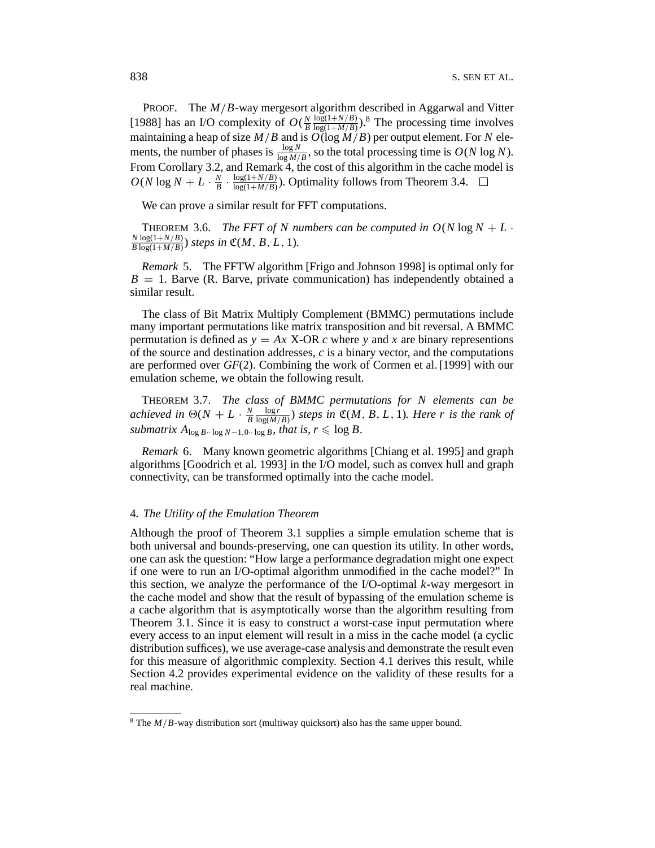PROOF. The *M*/*B*-way mergesort algorithm described in Aggarwal and Vitter [1988] has an I/O complexity of  $O(\frac{N}{B})$  $log(1+N/B)$  $\frac{\log(1+N/B)}{\log(1+M/B)}$ ).<sup>8</sup> The processing time involves maintaining a heap of size *M*/*B* and is *O*(log *M*/*B*) per output element. For *N* elements, the number of phases is  $\frac{\log N}{\log M/B}$ , so the total processing time is  $O(N \log N)$ . From Corollary 3.2, and Remark 4, the cost of this algorithm in the cache model is  $O(N \log N + L \cdot \frac{N}{B} \cdot \frac{\log(1+N/B)}{\log(1+M/B)}$ . Optimality follows from Theorem 3.4.

We can prove a similar result for FFT computations.

THEOREM 3.6. *The FFT of N numbers can be computed in*  $O(N \log N + L \cdot$ *N* log(1+*N*/*B*)  $\frac{N \log(1+N/B)}{B \log(1+M/B)}$  *steps in*  $\mathfrak{C}(M, B, L, 1)$ *.* 

*Remark* 5. The FFTW algorithm [Frigo and Johnson 1998] is optimal only for  $B = 1$ . Barve (R. Barve, private communication) has independently obtained a similar result.

The class of Bit Matrix Multiply Complement (BMMC) permutations include many important permutations like matrix transposition and bit reversal. A BMMC permutation is defined as  $y = Ax$  X-OR c where y and x are binary representions of the source and destination addresses, *c* is a binary vector, and the computations are performed over *GF*(2). Combining the work of Cormen et al. [1999] with our emulation scheme, we obtain the following result.

THEOREM 3.7. *The class of BMMC permutations for N elements can be achieved in*  $\Theta(N + L \cdot \frac{N}{B})$ log *r*  $\frac{\log r}{\log(M/B)}$  *steps in*  $\mathfrak{C}(M, B, L, 1)$ *. Here r is the rank of submatrix*  $A_{\log B \cdots \log N - 1, 0 \cdots \log B}$ *, that is, r*  $\leq \log B$ *.* 

*Remark* 6. Many known geometric algorithms [Chiang et al. 1995] and graph algorithms [Goodrich et al. 1993] in the I/O model, such as convex hull and graph connectivity, can be transformed optimally into the cache model.

# 4*. The Utility of the Emulation Theorem*

Although the proof of Theorem 3.1 supplies a simple emulation scheme that is both universal and bounds-preserving, one can question its utility. In other words, one can ask the question: "How large a performance degradation might one expect if one were to run an I/O-optimal algorithm unmodified in the cache model?" In this section, we analyze the performance of the I/O-optimal *k*-way mergesort in the cache model and show that the result of bypassing of the emulation scheme is a cache algorithm that is asymptotically worse than the algorithm resulting from Theorem 3.1. Since it is easy to construct a worst-case input permutation where every access to an input element will result in a miss in the cache model (a cyclic distribution suffices), we use average-case analysis and demonstrate the result even for this measure of algorithmic complexity. Section 4.1 derives this result, while Section 4.2 provides experimental evidence on the validity of these results for a real machine.

<sup>&</sup>lt;sup>8</sup> The *M*/*B*-way distribution sort (multiway quicksort) also has the same upper bound.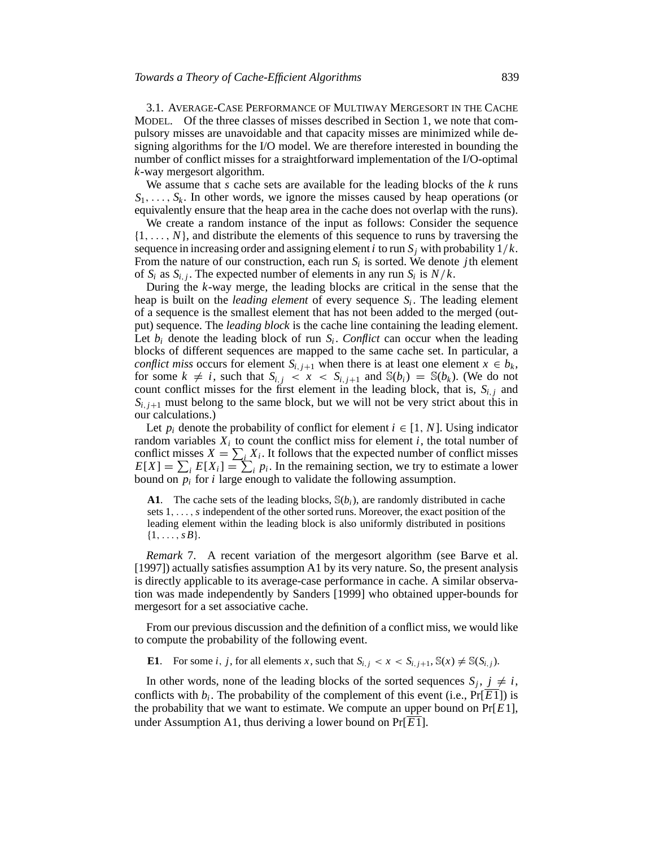3.1. AVERAGE-CASE PERFORMANCE OF MULTIWAY MERGESORT IN THE CACHE MODEL. Of the three classes of misses described in Section 1, we note that compulsory misses are unavoidable and that capacity misses are minimized while designing algorithms for the I/O model. We are therefore interested in bounding the number of conflict misses for a straightforward implementation of the I/O-optimal *k*-way mergesort algorithm.

We assume that *s* cache sets are available for the leading blocks of the *k* runs  $S_1, \ldots, S_k$ . In other words, we ignore the misses caused by heap operations (or equivalently ensure that the heap area in the cache does not overlap with the runs).

We create a random instance of the input as follows: Consider the sequence  $\{1, \ldots, N\}$ , and distribute the elements of this sequence to runs by traversing the sequence in increasing order and assigning element *i* to run  $S_i$  with probability  $1/k$ . From the nature of our construction, each run  $S_i$  is sorted. We denote *j*th element of  $S_i$  as  $S_{i,j}$ . The expected number of elements in any run  $S_i$  is  $N/k$ .

During the *k*-way merge, the leading blocks are critical in the sense that the heap is built on the *leading element* of every sequence  $S_i$ . The leading element of a sequence is the smallest element that has not been added to the merged (output) sequence. The *leading block* is the cache line containing the leading element. Let  $b_i$  denote the leading block of run  $S_i$ . *Conflict* can occur when the leading blocks of different sequences are mapped to the same cache set. In particular, a *conflict miss* occurs for element  $S_{i,j+1}$  when there is at least one element  $x \in b_k$ , for some  $k \neq i$ , such that  $S_{i,j} < x < S_{i,j+1}$  and  $\mathbb{S}(b_i) = \mathbb{S}(b_k)$ . (We do not count conflict misses for the first element in the leading block, that is,  $S_{i,j}$  and  $S_{i,i+1}$  must belong to the same block, but we will not be very strict about this in our calculations.)

Let  $p_i$  denote the probability of conflict for element  $i \in [1, N]$ . Using indicator random variables  $X_i$  to count the conflict miss for element  $i$ , the total number of conflict misses  $X = \sum_i X_i$ . It follows that the expected number of conflict misses  $E[X] = \sum_i E[X_i] = \sum_i p_i$ . In the remaining section, we try to estimate a lower bound on  $\overline{p_i}$  for *i* large enough to validate the following assumption.

**A1**. The cache sets of the leading blocks,  $S(b_i)$ , are randomly distributed in cache sets 1,...,*s* independent of the other sorted runs. Moreover, the exact position of the leading element within the leading block is also uniformly distributed in positions  $\{1, \ldots, s\}$ .

*Remark* 7. A recent variation of the mergesort algorithm (see Barve et al. [1997]) actually satisfies assumption A1 by its very nature. So, the present analysis is directly applicable to its average-case performance in cache. A similar observation was made independently by Sanders [1999] who obtained upper-bounds for mergesort for a set associative cache.

From our previous discussion and the definition of a conflict miss, we would like to compute the probability of the following event.

**E1**. For some *i*, *j*, for all elements *x*, such that  $S_{i,j} < x < S_{i,j+1}$ ,  $\mathbb{S}(x) \neq \mathbb{S}(S_{i,j})$ .

In other words, none of the leading blocks of the sorted sequences  $S_j$ ,  $j \neq i$ , conflicts with  $b_i$ . The probability of the complement of this event (i.e.,  $Pr[E1]$ ) is the probability that we want to estimate. We compute an upper bound on  $Pr[*E*1]$ , under Assumption A1, thus deriving a lower bound on Pr[*E*1].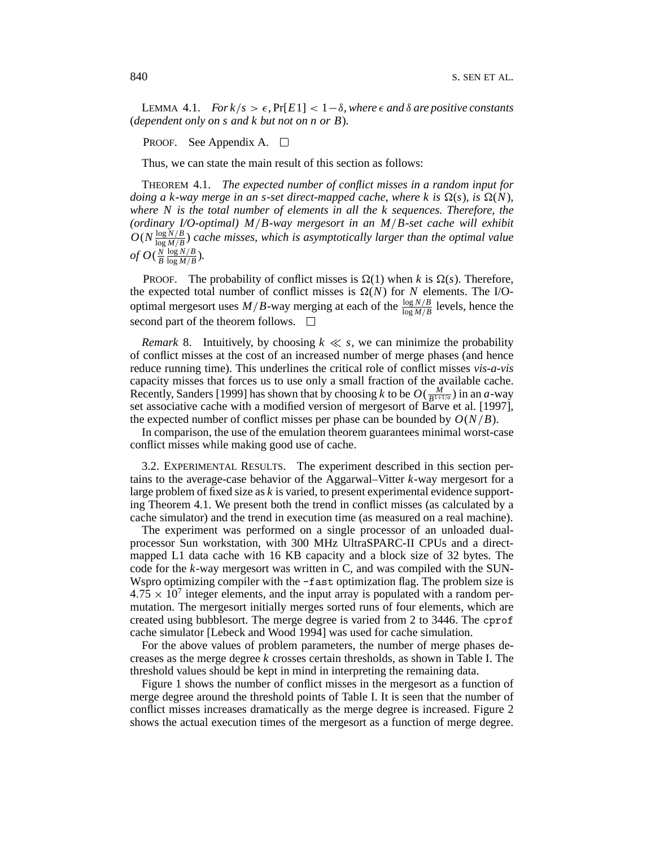LEMMA 4.1. *For k*/ $s > \epsilon$ , Pr[ $E1$ ] < 1 -  $\delta$ , where  $\epsilon$  and  $\delta$  are positive constants (*dependent only on s and k but not on n or B*)*.*

PROOF. See Appendix A.  $\square$ 

Thus, we can state the main result of this section as follows:

THEOREM 4.1. *The expected number of conflict misses in a random input for doing a k-way merge in an s-set direct-mapped cache, where k is*  $\Omega(s)$ *, is*  $\Omega(N)$ *, where N is the total number of elements in all the k sequences. Therefore, the (ordinary I/O-optimal) M*/*B-way mergesort in an M*/*B-set cache will exhibit*  $O(N \frac{\log N/B}{\log M/B})$  *cache misses, which is asymptotically larger than the optimal value of*  $O(\frac{N}{B})$  $\frac{\log N/B}{\log M/B}$ ).

**PROOF.** The probability of conflict misses is  $\Omega(1)$  when *k* is  $\Omega(s)$ . Therefore, the expected total number of conflict misses is  $\Omega(N)$  for *N* elements. The I/Ooptimal mergesort uses  $M/B$ -way merging at each of the  $\frac{\log N/B}{\log M/B}$  levels, hence the second part of the theorem follows.  $\square$ 

*Remark* 8. Intuitively, by choosing  $k \ll s$ , we can minimize the probability of conflict misses at the cost of an increased number of merge phases (and hence reduce running time). This underlines the critical role of conflict misses *vis-a-vis* capacity misses that forces us to use only a small fraction of the available cache. Recently, Sanders [1999] has shown that by choosing *k* to be  $O(\frac{M}{B^{1+1/a}})$  in an *a*-way set associative cache with a modified version of mergesort of Barve et al. [1997], the expected number of conflict misses per phase can be bounded by  $O(N/B)$ .

In comparison, the use of the emulation theorem guarantees minimal worst-case conflict misses while making good use of cache.

3.2. EXPERIMENTAL RESULTS. The experiment described in this section pertains to the average-case behavior of the Aggarwal–Vitter *k*-way mergesort for a large problem of fixed size as *k* is varied, to present experimental evidence supporting Theorem 4.1. We present both the trend in conflict misses (as calculated by a cache simulator) and the trend in execution time (as measured on a real machine).

The experiment was performed on a single processor of an unloaded dualprocessor Sun workstation, with 300 MHz UltraSPARC-II CPUs and a directmapped L1 data cache with 16 KB capacity and a block size of 32 bytes. The code for the *k*-way mergesort was written in C, and was compiled with the SUN-Wspro optimizing compiler with the -fast optimization flag. The problem size is  $4.75 \times 10^{7}$  integer elements, and the input array is populated with a random permutation. The mergesort initially merges sorted runs of four elements, which are created using bubblesort. The merge degree is varied from 2 to 3446. The cprof cache simulator [Lebeck and Wood 1994] was used for cache simulation.

For the above values of problem parameters, the number of merge phases decreases as the merge degree *k* crosses certain thresholds, as shown in Table I. The threshold values should be kept in mind in interpreting the remaining data.

Figure 1 shows the number of conflict misses in the mergesort as a function of merge degree around the threshold points of Table I. It is seen that the number of conflict misses increases dramatically as the merge degree is increased. Figure 2 shows the actual execution times of the mergesort as a function of merge degree.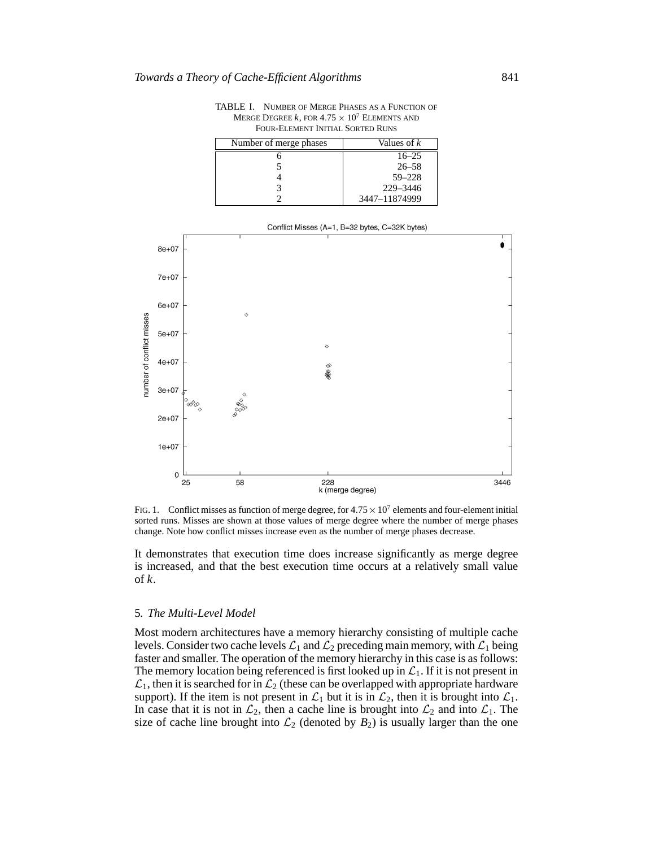| 1 YOR BEERIER'S HUILLE DORIED ROND |                    |
|------------------------------------|--------------------|
| Number of merge phases             | Values of <i>k</i> |
|                                    | $16 - 25$          |
|                                    | $26 - 58$          |
|                                    | $59 - 228$         |
|                                    | 229-3446           |
|                                    | 3447-11874999      |

TABLE I. NUMBER OF MERGE PHASES AS A FUNCTION OF MERGE DEGREE *k*, FOR  $4.75 \times 10^7$  ELEMENTS AND FOUR-ELEMENT INITIAL SORTED RUNS



FIG. 1. Conflict misses as function of merge degree, for  $4.75 \times 10^7$  elements and four-element initial sorted runs. Misses are shown at those values of merge degree where the number of merge phases change. Note how conflict misses increase even as the number of merge phases decrease.

It demonstrates that execution time does increase significantly as merge degree is increased, and that the best execution time occurs at a relatively small value of  $k$ .

### 5*. The Multi-Level Model*

Most modern architectures have a memory hierarchy consisting of multiple cache levels. Consider two cache levels  $\mathcal{L}_1$  and  $\mathcal{L}_2$  preceding main memory, with  $\mathcal{L}_1$  being faster and smaller. The operation of the memory hierarchy in this case is as follows: The memory location being referenced is first looked up in  $\mathcal{L}_1$ . If it is not present in  $\mathcal{L}_1$ , then it is searched for in  $\mathcal{L}_2$  (these can be overlapped with appropriate hardware support). If the item is not present in  $\mathcal{L}_1$  but it is in  $\mathcal{L}_2$ , then it is brought into  $\mathcal{L}_1$ . In case that it is not in  $\mathcal{L}_2$ , then a cache line is brought into  $\mathcal{L}_2$  and into  $\mathcal{L}_1$ . The size of cache line brought into  $\mathcal{L}_2$  (denoted by  $B_2$ ) is usually larger than the one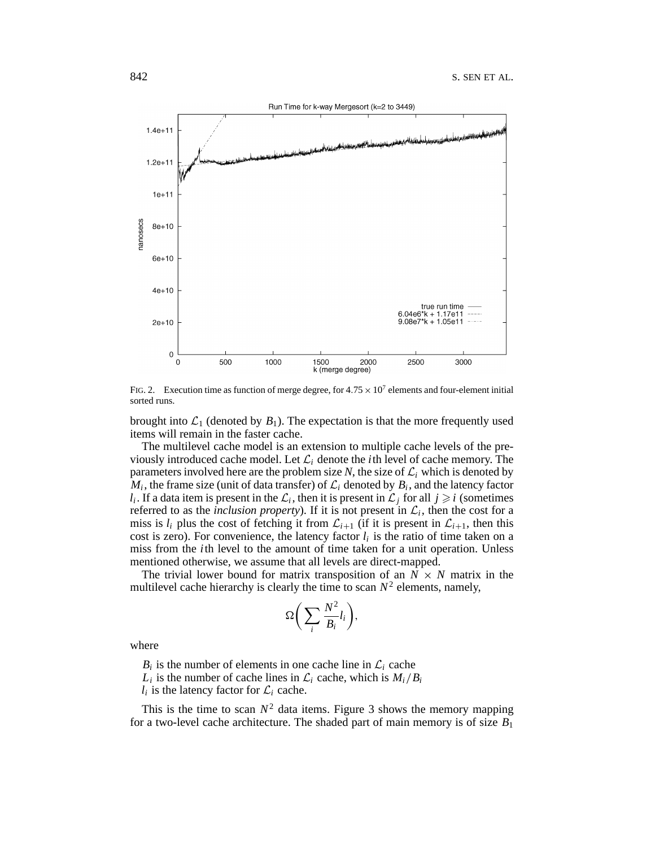

FIG. 2. Execution time as function of merge degree, for  $4.75 \times 10^7$  elements and four-element initial sorted runs.

brought into  $\mathcal{L}_1$  (denoted by  $B_1$ ). The expectation is that the more frequently used items will remain in the faster cache.

The multilevel cache model is an extension to multiple cache levels of the previously introduced cache model. Let  $\mathcal{L}_i$  denote the *i*th level of cache memory. The parameters involved here are the problem size  $N$ , the size of  $\mathcal{L}_i$  which is denoted by  $M_i$ , the frame size (unit of data transfer) of  $\mathcal{L}_i$  denoted by  $B_i$ , and the latency factor *l<sub>i</sub>*. If a data item is present in the  $\mathcal{L}_i$ , then it is present in  $\mathcal{L}_j$  for all  $j \geq i$  (sometimes referred to as the *inclusion property*). If it is not present in  $\mathcal{L}_i$ , then the cost for a miss is  $l_i$  plus the cost of fetching it from  $\mathcal{L}_{i+1}$  (if it is present in  $\mathcal{L}_{i+1}$ , then this cost is zero). For convenience, the latency factor  $l_i$  is the ratio of time taken on a miss from the *i*th level to the amount of time taken for a unit operation. Unless mentioned otherwise, we assume that all levels are direct-mapped.

The trivial lower bound for matrix transposition of an  $N \times N$  matrix in the multilevel cache hierarchy is clearly the time to scan  $N^2$  elements, namely,

$$
\Omega\bigg(\sum_i \frac{N^2}{B_i} l_i\bigg),\,
$$

where

 $B_i$  is the number of elements in one cache line in  $\mathcal{L}_i$  cache

 $L_i$  is the number of cache lines in  $\mathcal{L}_i$  cache, which is  $M_i/B_i$ 

 $l_i$  is the latency factor for  $\mathcal{L}_i$  cache.

This is the time to scan  $N^2$  data items. Figure 3 shows the memory mapping for a two-level cache architecture. The shaded part of main memory is of size  $B_1$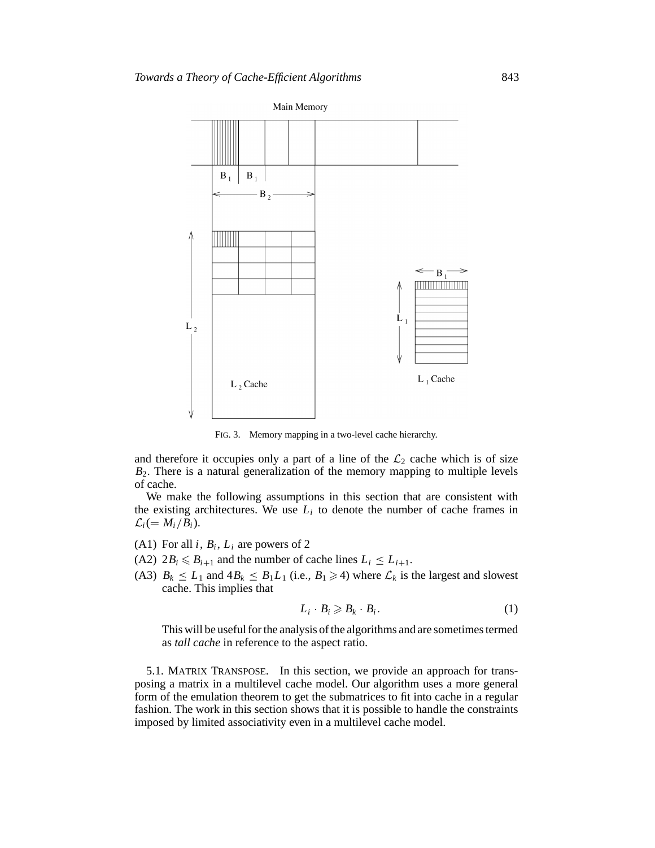

FIG. 3. Memory mapping in a two-level cache hierarchy.

and therefore it occupies only a part of a line of the  $\mathcal{L}_2$  cache which is of size *B*2. There is a natural generalization of the memory mapping to multiple levels of cache.

We make the following assumptions in this section that are consistent with the existing architectures. We use  $L_i$  to denote the number of cache frames in  $\mathcal{L}_i (= M_i/B_i).$ 

- (A1) For all  $i$ ,  $B_i$ ,  $L_i$  are powers of 2
- (A2)  $2B_i \le B_{i+1}$  and the number of cache lines  $L_i \le L_{i+1}$ .
- (A3)  $B_k \le L_1$  and  $4B_k \le B_1L_1$  (i.e.,  $B_1 \ge 4$ ) where  $\mathcal{L}_k$  is the largest and slowest cache. This implies that

$$
L_i \cdot B_i \geq B_k \cdot B_i. \tag{1}
$$

This will be useful for the analysis of the algorithms and are sometimes termed as *tall cache* in reference to the aspect ratio.

5.1. MATRIX TRANSPOSE. In this section, we provide an approach for transposing a matrix in a multilevel cache model. Our algorithm uses a more general form of the emulation theorem to get the submatrices to fit into cache in a regular fashion. The work in this section shows that it is possible to handle the constraints imposed by limited associativity even in a multilevel cache model.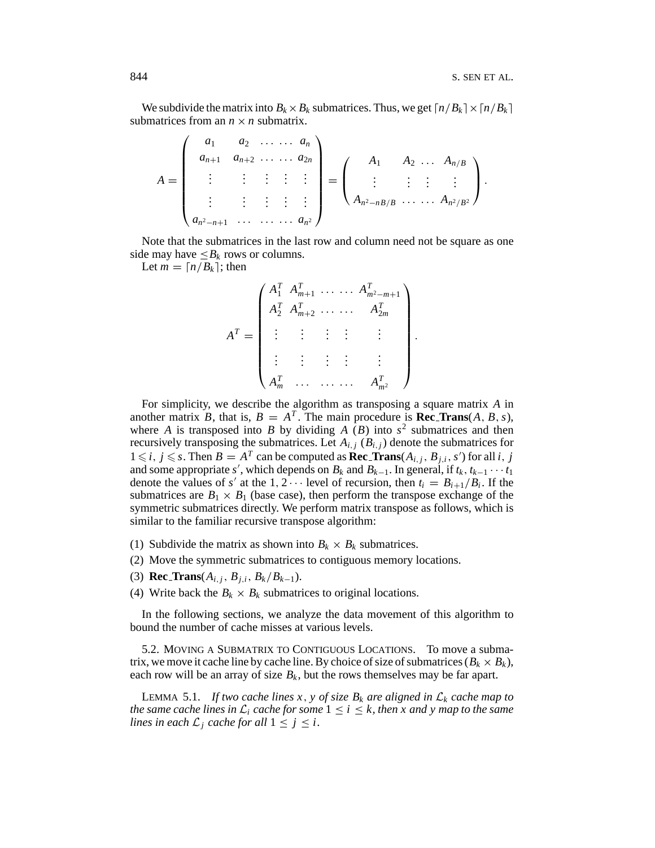We subdivide the matrix into  $B_k \times B_k$  submatrices. Thus, we get  $\lceil n/B_k \rceil \times \lceil n/B_k \rceil$ submatrices from an  $n \times n$  submatrix.

$$
A = \begin{pmatrix} a_1 & a_2 & \dots & a_n \\ a_{n+1} & a_{n+2} & \dots & a_{2n} \\ \vdots & \vdots & \vdots & \vdots \\ a_n^{2-n+1} & \dots & \dots & a_n^{2} \end{pmatrix} = \begin{pmatrix} A_1 & A_2 & \dots & A_{n/B} \\ \vdots & \vdots & \vdots & \vdots \\ A_n^{2-n} & \dots & A_n^{2/B^2} \end{pmatrix}.
$$

Note that the submatrices in the last row and column need not be square as one side may have  $\leq B_k$  rows or columns.

Let  $m = \lceil n/B_k \rceil$ ; then

$$
A^{T} = \begin{pmatrix} A_{1}^{T} & A_{m+1}^{T} & \cdots & A_{m^{2}-m+1}^{T} \\ A_{2}^{T} & A_{m+2}^{T} & \cdots & A_{2m}^{T} \\ \vdots & \vdots & \vdots & \vdots & \vdots \\ \vdots & \vdots & \vdots & \vdots & \vdots \\ A_{m}^{T} & \cdots & \cdots & A_{m^{2}}^{T} \end{pmatrix}
$$

.

For simplicity, we describe the algorithm as transposing a square matrix *A* in another matrix *B*, that is,  $B = A^T$ . The main procedure is **Rec\_Trans** $(A, B, s)$ , where *A* is transposed into *B* by dividing *A*  $(B)$  into  $s^2$  submatrices and then recursively transposing the submatrices. Let  $A_{i,j}$  ( $B_{i,j}$ ) denote the submatrices for  $1 \leq i, j \leq s$ . Then  $B = A^T$  can be computed as **Rec\_Trans** $(A_{i,j}, B_{j,i}, s')$  for all *i*, *j* and some appropriate *s'*, which depends on  $B_k$  and  $B_{k-1}$ . In general, if  $t_k$ ,  $t_{k-1}$  ···  $t_1$ denote the values of *s'* at the 1,  $2 \cdots$  level of recursion, then  $t_i = B_{i+1}/B_i$ . If the submatrices are  $B_1 \times B_1$  (base case), then perform the transpose exchange of the symmetric submatrices directly. We perform matrix transpose as follows, which is similar to the familiar recursive transpose algorithm:

- (1) Subdivide the matrix as shown into  $B_k \times B_k$  submatrices.
- (2) Move the symmetric submatrices to contiguous memory locations.
- (3) **Rec\_Trans** $(A_{i,j}, B_{j,i}, B_k/B_{k-1})$ .
- (4) Write back the  $B_k \times B_k$  submatrices to original locations.

In the following sections, we analyze the data movement of this algorithm to bound the number of cache misses at various levels.

5.2. MOVING A SUBMATRIX TO CONTIGUOUS LOCATIONS. To move a submatrix, we move it cache line by cache line. By choice of size of submatrices  $(B_k \times B_k)$ , each row will be an array of size  $B_k$ , but the rows themselves may be far apart.

LEMMA 5.1. *If two cache lines x, y of size*  $B_k$  *are aligned in*  $\mathcal{L}_k$  *cache map to the same cache lines in*  $\mathcal{L}_i$  *cache for some*  $1 \leq i \leq k$ *, then* x *and* y *map to the same lines in each*  $\mathcal{L}_i$  *cache for all*  $1 \leq j \leq i$ .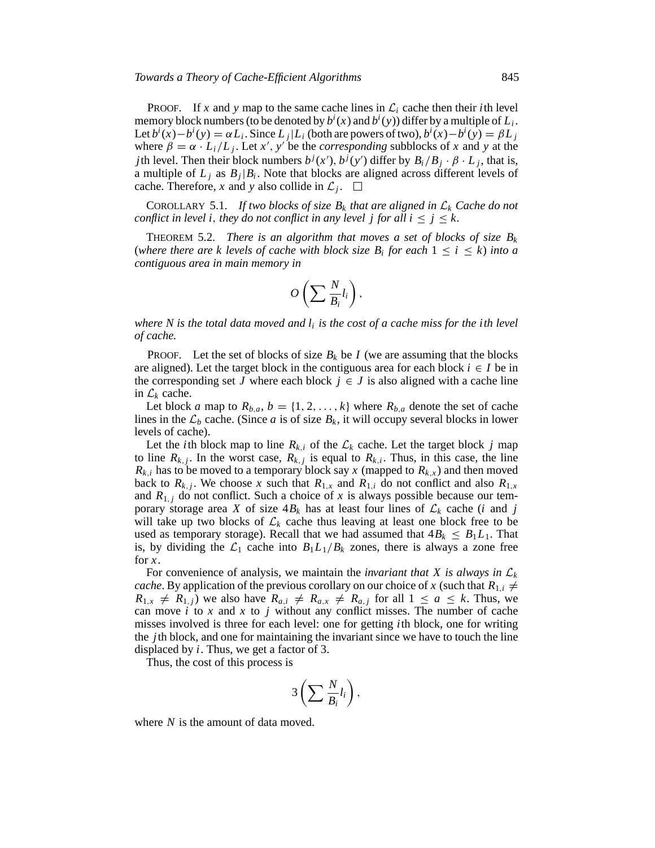**PROOF.** If x and y map to the same cache lines in  $\mathcal{L}_i$  cache then their *i*th level memory block numbers (to be denoted by  $b^i(x)$  and  $b^i(y)$ ) differ by a multiple of  $L_i$ . Let  $b^i(x) - b^i(y) = \alpha L_i$ . Since  $L_j | L_i$  (both are powers of two),  $b^i(x) - b^i(y) = \beta L_j$ where  $\beta = \alpha \cdot L_i/L_j$ . Let *x'*, *y'* be the *corresponding* subblocks of *x* and *y* at the *j*th level. Then their block numbers  $b^j(x')$ ,  $b^j(y')$  differ by  $B_i/B_j \cdot \beta \cdot L_j$ , that is, a multiple of  $L_i$  as  $B_i|B_i$ . Note that blocks are aligned across different levels of cache. Therefore, *x* and *y* also collide in  $\mathcal{L}_i$ .  $\square$ 

COROLLARY 5.1. *If two blocks of size*  $B_k$  *that are aligned in*  $\mathcal{L}_k$  *Cache do not conflict in level i, they do not conflict in any level j for all*  $i \leq j \leq k$ *.* 

**THEOREM 5.2.** *There is an algorithm that moves a set of blocks of size*  $B_k$ (*where there are k levels of cache with block size*  $B_i$  *for each*  $1 \leq i \leq k$ ) *into a contiguous area in main memory in*

$$
O\left(\sum \frac{N}{B_i}l_i\right),\
$$

*where N is the total data moved and li is the cost of a cache miss for the ith level of cache.*

**PROOF.** Let the set of blocks of size  $B_k$  be *I* (we are assuming that the blocks are aligned). Let the target block in the contiguous area for each block  $i \in I$  be in the corresponding set *J* where each block  $j \in J$  is also aligned with a cache line in  $\mathcal{L}_k$  cache.

Let block *a* map to  $R_{b,a}$ ,  $b = \{1, 2, ..., k\}$  where  $R_{b,a}$  denote the set of cache lines in the  $\mathcal{L}_b$  cache. (Since *a* is of size  $B_k$ , it will occupy several blocks in lower levels of cache).

Let the *i*th block map to line  $R_{k,i}$  of the  $\mathcal{L}_k$  cache. Let the target block *j* map to line  $R_{k,j}$ . In the worst case,  $R_{k,j}$  is equal to  $R_{k,i}$ . Thus, in this case, the line  $R_{k,i}$  has to be moved to a temporary block say *x* (mapped to  $R_{k,x}$ ) and then moved back to  $R_{k,i}$ . We choose x such that  $R_{1,x}$  and  $R_{1,i}$  do not conflict and also  $R_{1,x}$ and  $R_{1,j}$  do not conflict. Such a choice of x is always possible because our temporary storage area *X* of size  $4B_k$  has at least four lines of  $\mathcal{L}_k$  cache (*i* and *j* will take up two blocks of  $\mathcal{L}_k$  cache thus leaving at least one block free to be used as temporary storage). Recall that we had assumed that  $4B_k \leq B_1L_1$ . That is, by dividing the  $\mathcal{L}_1$  cache into  $B_1L_1/B_k$  zones, there is always a zone free for *x*.

For convenience of analysis, we maintain the *invariant that X is always in*  $\mathcal{L}_k$ *cache*. By application of the previous corollary on our choice of *x* (such that  $R_{1,i} \neq$  $R_{1,x} \neq R_{1,j}$  we also have  $R_{a,i} \neq R_{a,x} \neq R_{a,j}$  for all  $1 \leq a \leq k$ . Thus, we can move  $i$  to  $x$  and  $x$  to  $j$  without any conflict misses. The number of cache misses involved is three for each level: one for getting *i*th block, one for writing the *j*th block, and one for maintaining the invariant since we have to touch the line displaced by *i*. Thus, we get a factor of 3.

Thus, the cost of this process is

$$
3\left(\sum \frac{N}{B_i}l_i\right),\,
$$

where *N* is the amount of data moved.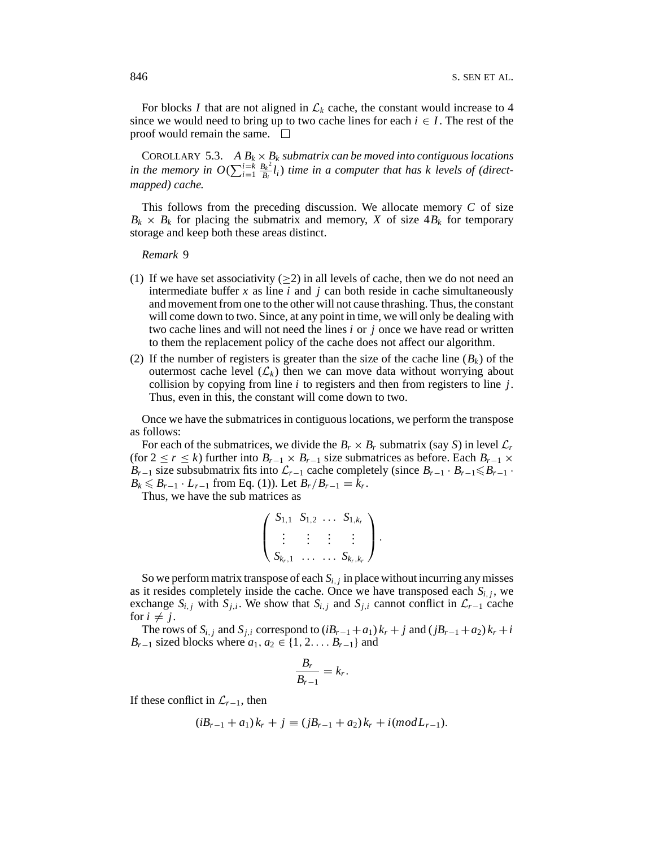For blocks *I* that are not aligned in  $\mathcal{L}_k$  cache, the constant would increase to 4 since we would need to bring up to two cache lines for each  $i \in I$ . The rest of the proof would remain the same.  $\square$ 

COROLLARY 5.3. *A*  $B_k \times B_k$  *submatrix can be moved into contiguous locations* in the memory in  $O(\sum_{i=1}^{i=k} \frac{B_k^2}{B_i} l_i)$  time in a computer that has k levels of (direct*mapped) cache.*

This follows from the preceding discussion. We allocate memory *C* of size  $B_k \times B_k$  for placing the submatrix and memory, *X* of size  $4B_k$  for temporary storage and keep both these areas distinct.

*Remark* 9

- (1) If we have set associativity  $(>2)$  in all levels of cache, then we do not need an intermediate buffer  $x$  as line  $i$  and  $j$  can both reside in cache simultaneously and movement from one to the other will not cause thrashing. Thus, the constant will come down to two. Since, at any point in time, we will only be dealing with two cache lines and will not need the lines *i* or *j* once we have read or written to them the replacement policy of the cache does not affect our algorithm.
- (2) If the number of registers is greater than the size of the cache line  $(B_k)$  of the outermost cache level  $(\mathcal{L}_k)$  then we can move data without worrying about collision by copying from line *i* to registers and then from registers to line *j*. Thus, even in this, the constant will come down to two.

Once we have the submatrices in contiguous locations, we perform the transpose as follows:

For each of the submatrices, we divide the  $B_r \times B_r$  submatrix (say *S*) in level  $\mathcal{L}_r$ (for  $2 \le r \le k$ ) further into  $B_{r-1} \times B_{r-1}$  size submatrices as before. Each  $B_{r-1} \times$ *B<sub>r−1</sub>* size subsubmatrix fits into  $\mathcal{L}_{r-1}$  cache completely (since  $B_{r-1} \cdot B_{r-1} \le B_{r-1} \cdot$  $B_k \le B_{r-1} \cdot L_{r-1}$  from Eq. (1)). Let  $B_r/B_{r-1} = k_r$ .

Thus, we have the sub matrices as

$$
\left(\begin{array}{cccc} S_{1,1} & S_{1,2} & \ldots & S_{1,k_r} \\ \vdots & \vdots & \vdots & \vdots \\ S_{k_r,1} & \ldots & \ldots & S_{k_r,k_r}\end{array}\right).
$$

So we perform matrix transpose of each  $S_{i,j}$  in place without incurring any misses as it resides completely inside the cache. Once we have transposed each  $S_{i,j}$ , we exchange  $S_{i,j}$  with  $S_{j,i}$ . We show that  $S_{i,j}$  and  $S_{j,i}$  cannot conflict in  $\mathcal{L}_{r-1}$  cache for  $i \neq j$ .

The rows of  $S_{i,j}$  and  $S_{j,i}$  correspond to  $(iB_{r-1} + a_1) k_r + j$  and  $(jB_{r-1} + a_2) k_r + i$ *B*<sub>*r*−1</sub> sized blocks where  $a_1, a_2 \in \{1, 2, ..., B_{r-1}\}\$ and

$$
\frac{B_r}{B_{r-1}}=k_r.
$$

If these conflict in  $\mathcal{L}_{r-1}$ , then

$$
(iB_{r-1} + a_1) k_r + j \equiv (jB_{r-1} + a_2) k_r + i (mod L_{r-1}).
$$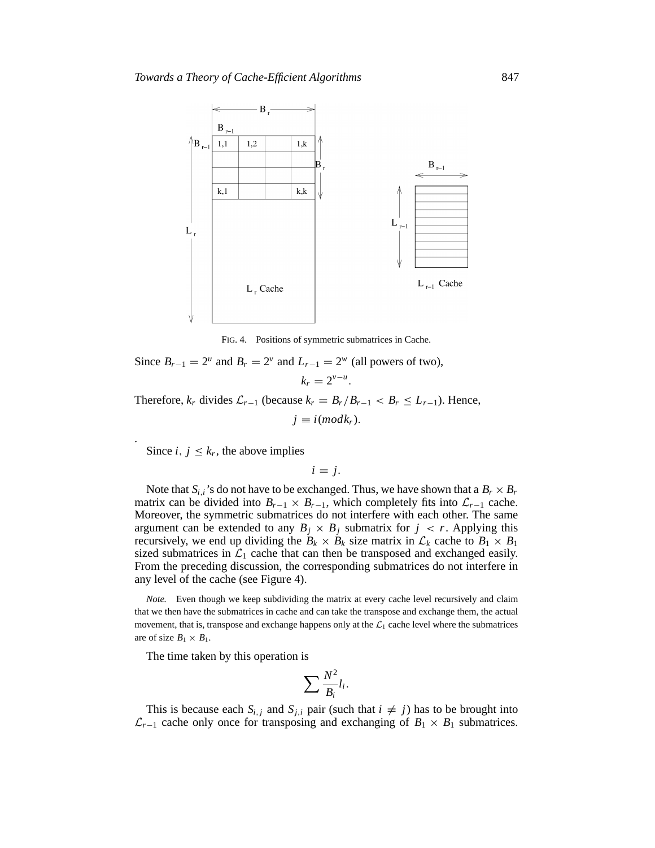

FIG. 4. Positions of symmetric submatrices in Cache.

Since  $B_{r-1} = 2^u$  and  $B_r = 2^v$  and  $L_{r-1} = 2^w$  (all powers of two),

$$
k_r=2^{\nu-u}.
$$

Therefore,  $k_r$  divides  $\mathcal{L}_{r-1}$  (because  $k_r = B_r/B_{r-1} < B_r \le L_{r-1}$ ). Hence,

 $j \equiv i (mod k_r)$ .

Since *i*,  $j \leq k_r$ , the above implies

.

 $i = j$ .

Note that  $S_{i,i}$ 's do not have to be exchanged. Thus, we have shown that a  $B_r \times B_r$ matrix can be divided into  $B_{r-1} \times B_{r-1}$ , which completely fits into  $\mathcal{L}_{r-1}$  cache. Moreover, the symmetric submatrices do not interfere with each other. The same argument can be extended to any  $B_i \times B_j$  submatrix for  $j \lt r$ . Applying this recursively, we end up dividing the  $B_k \times B_k$  size matrix in  $\mathcal{L}_k$  cache to  $B_1 \times B_1$ sized submatrices in  $\mathcal{L}_1$  cache that can then be transposed and exchanged easily. From the preceding discussion, the corresponding submatrices do not interfere in any level of the cache (see Figure 4).

*Note.* Even though we keep subdividing the matrix at every cache level recursively and claim that we then have the submatrices in cache and can take the transpose and exchange them, the actual movement, that is, transpose and exchange happens only at the  $\mathcal{L}_1$  cache level where the submatrices are of size  $B_1 \times B_1$ .

The time taken by this operation is

$$
\sum \frac{N^2}{B_i} l_i.
$$

This is because each  $S_{i,j}$  and  $S_{j,i}$  pair (such that  $i \neq j$ ) has to be brought into  $\mathcal{L}_{r-1}$  cache only once for transposing and exchanging of  $B_1 \times B_1$  submatrices.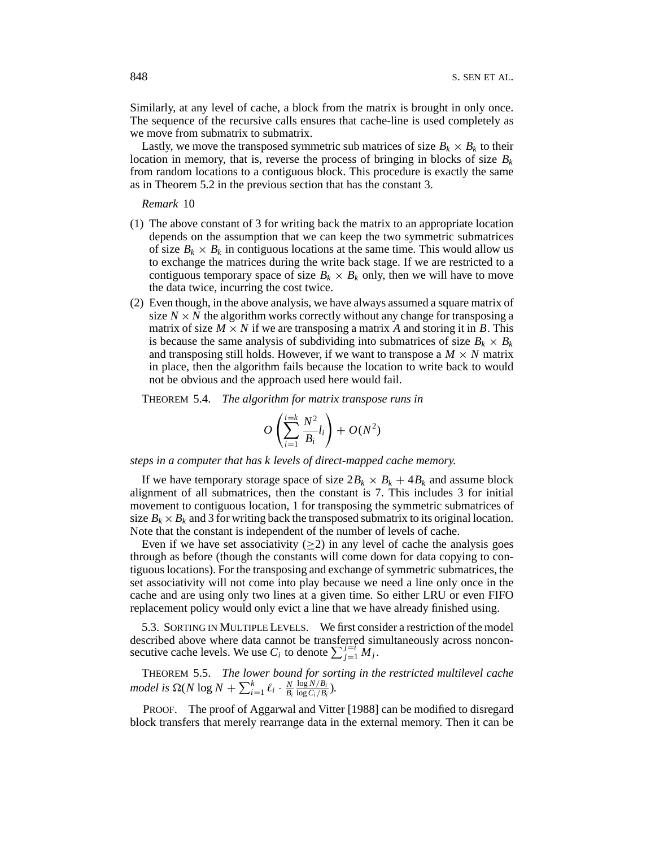Similarly, at any level of cache, a block from the matrix is brought in only once. The sequence of the recursive calls ensures that cache-line is used completely as we move from submatrix to submatrix.

Lastly, we move the transposed symmetric sub matrices of size  $B_k \times B_k$  to their location in memory, that is, reverse the process of bringing in blocks of size  $B_k$ from random locations to a contiguous block. This procedure is exactly the same as in Theorem 5.2 in the previous section that has the constant 3.

*Remark* 10

- (1) The above constant of 3 for writing back the matrix to an appropriate location depends on the assumption that we can keep the two symmetric submatrices of size  $B_k \times B_k$  in contiguous locations at the same time. This would allow us to exchange the matrices during the write back stage. If we are restricted to a contiguous temporary space of size  $B_k \times B_k$  only, then we will have to move the data twice, incurring the cost twice.
- (2) Even though, in the above analysis, we have always assumed a square matrix of size  $N \times N$  the algorithm works correctly without any change for transposing a matrix of size  $M \times N$  if we are transposing a matrix A and storing it in B. This is because the same analysis of subdividing into submatrices of size  $B_k \times B_k$ and transposing still holds. However, if we want to transpose a  $M \times N$  matrix in place, then the algorithm fails because the location to write back to would not be obvious and the approach used here would fail.

THEOREM 5.4. *The algorithm for matrix transpose runs in*

$$
O\left(\sum_{i=1}^{i=k} \frac{N^2}{B_i} l_i\right) + O(N^2)
$$

*steps in a computer that has k levels of direct-mapped cache memory.*

If we have temporary storage space of size  $2B_k \times B_k + 4B_k$  and assume block alignment of all submatrices, then the constant is 7. This includes 3 for initial movement to contiguous location, 1 for transposing the symmetric submatrices of size  $B_k \times B_k$  and 3 for writing back the transposed submatrix to its original location. Note that the constant is independent of the number of levels of cache.

Even if we have set associativity  $(\geq 2)$  in any level of cache the analysis goes through as before (though the constants will come down for data copying to contiguous locations). For the transposing and exchange of symmetric submatrices, the set associativity will not come into play because we need a line only once in the cache and are using only two lines at a given time. So either LRU or even FIFO replacement policy would only evict a line that we have already finished using.

5.3. SORTING IN MULTIPLE LEVELS. We first consider a restriction of the model described above where data cannot be transferred simultaneously across nonconsecutive cache levels. We use  $C_i$  to denote  $\sum_{j=1}^{j=i} M_j$ .

THEOREM 5.5. *The lower bound for sorting in the restricted multilevel cache model is*  $\Omega(N \log N + \sum_{i=1}^{k} \ell_i \cdot \frac{N}{B_i})$ log *N*/*Bi*  $\frac{\log N/B_i}{\log C_i/B_i}$ ).

PROOF. The proof of Aggarwal and Vitter [1988] can be modified to disregard block transfers that merely rearrange data in the external memory. Then it can be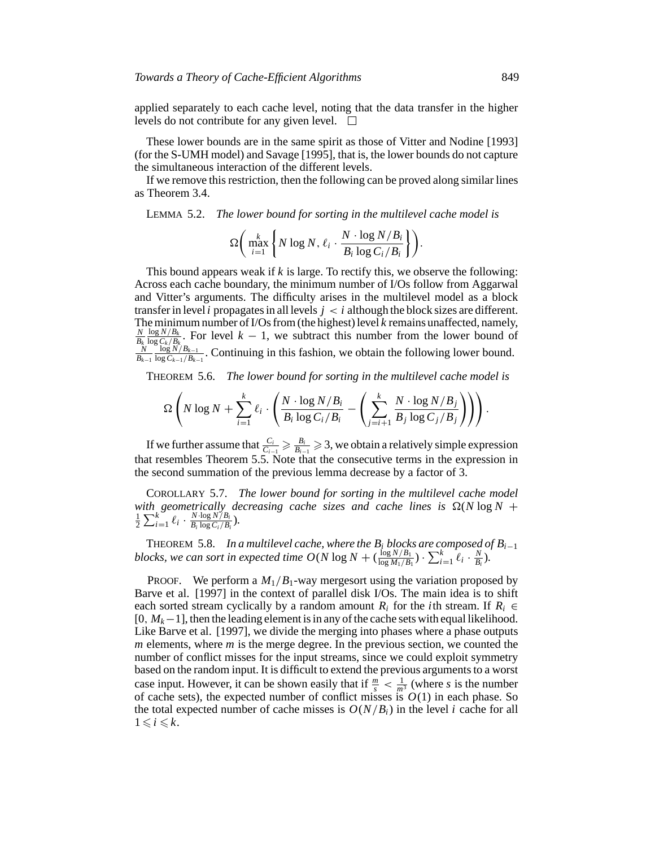applied separately to each cache level, noting that the data transfer in the higher levels do not contribute for any given level.  $\square$ 

These lower bounds are in the same spirit as those of Vitter and Nodine [1993] (for the S-UMH model) and Savage [1995], that is, the lower bounds do not capture the simultaneous interaction of the different levels.

If we remove this restriction, then the following can be proved along similar lines as Theorem 3.4.

LEMMA 5.2. *The lower bound for sorting in the multilevel cache model is*

$$
\Omega\bigg(\max_{i=1}^k \left\{N \log N, \ell_i \cdot \frac{N \cdot \log N/B_i}{B_i \log C_i/B_i}\right\}\bigg).
$$

This bound appears weak if *k* is large. To rectify this, we observe the following: Across each cache boundary, the minimum number of I/Os follow from Aggarwal and Vitter's arguments. The difficulty arises in the multilevel model as a block transfer in level *i* propagates in all levels  $j < i$  although the block sizes are different. The minimum number of I/Os from (the highest) level *k* remains unaffected, namely, *N Bk* log *N*/*Bk*  $\frac{\log N/B_k}{\log C_k/B_k}$ . For level  $k-1$ , we subtract this number from the lower bound of *N Bk*<sup>−</sup><sup>1</sup> log *N*/*Bk*<sup>−</sup><sup>1</sup> log*Ck*<sup>−</sup>1/*Bk*<sup>−</sup><sup>1</sup> . Continuing in this fashion, we obtain the following lower bound.

THEOREM 5.6. *The lower bound for sorting in the multilevel cache model is*

$$
\Omega\left(N\log N+\sum_{i=1}^k\ell_i\cdot\left(\frac{N\cdot\log N/B_i}{B_i\log C_i/B_i}-\left(\sum_{j=i+1}^k\frac{N\cdot\log N/B_j}{B_j\log C_j/B_j}\right)\right)\right).
$$

If we further assume that  $\frac{C_i}{C_{i-1}} \geqslant \frac{B_i}{B_{i-1}} \geqslant 3$ , we obtain a relatively simple expression that resembles Theorem 5.5. Note that the consecutive terms in the expression in the second summation of the previous lemma decrease by a factor of 3.

COROLLARY 5.7. *The lower bound for sorting in the multilevel cache model with geometrically decreasing cache sizes and cache lines is*  $\Omega(N \log N + \frac{1}{N} \sum_{i=1}^{k} \frac{N \cdot \log N}{B(i)}$  $\frac{1}{2} \sum_{i=1}^{k} \ell_i \cdot \frac{N \cdot \log N/B_i}{B_i \log C_i/B_i}$ ).

THEOREM 5.8. *In a multilevel cache, where the B<sub>i</sub> blocks are composed of B<sub>i−1</sub> blocks, we can sort in expected time*  $O(N \log N + (\frac{\log N/B_1}{\log M_1/B_1}) \cdot \sum_{i=1}^{k} \ell_i \cdot \frac{N}{B_i})$ *.* 

PROOF. We perform a  $M_1/B_1$ -way mergesort using the variation proposed by Barve et al. [1997] in the context of parallel disk I/Os. The main idea is to shift each sorted stream cyclically by a random amount  $R_i$  for the *i*th stream. If  $R_i \in$ [0, *Mk*−1], then the leading element is in any of the cache sets with equal likelihood. Like Barve et al. [1997], we divide the merging into phases where a phase outputs *m* elements, where *m* is the merge degree. In the previous section, we counted the number of conflict misses for the input streams, since we could exploit symmetry based on the random input. It is difficult to extend the previous arguments to a worst case input. However, it can be shown easily that if  $\frac{m}{s} < \frac{1}{m^3}$  (where *s* is the number of cache sets), the expected number of conflict misses is  $O(1)$  in each phase. So the total expected number of cache misses is  $O(N/B<sub>i</sub>)$  in the level *i* cache for all  $1 \leq i \leq k$ .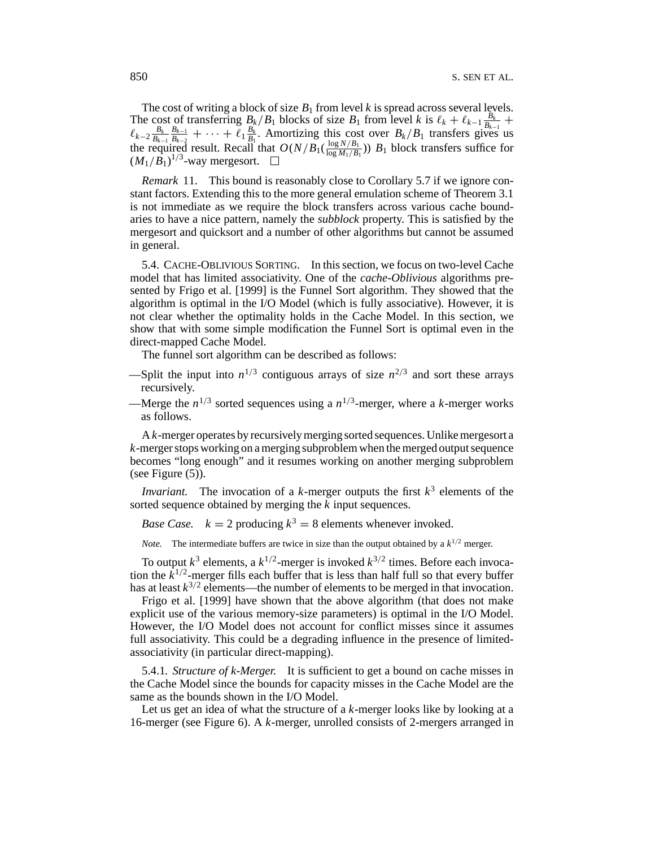The cost of writing a block of size  $B_1$  from level  $k$  is spread across several levels. The cost of transferring  $B_k/B_1$  blocks of size  $B_1$  from level *k* is  $\ell_k + \ell_{k-1} \frac{B_k}{B_{k-1}} +$  $\ell_{k-2} \frac{B_k}{B_k}$ *Bk*<sup>−</sup><sup>1</sup>  $\frac{B_{k-1}}{B_{k-2}} + \cdots + \ell_1 \frac{B_k}{B_1}$  $\frac{B_k}{B_1}$ . Amortizing this cost over  $B_k/B_1$  transfers gives us the required result. Recall that  $O(N/B_1(\frac{\log N/B_1}{\log M_1/B_1}))$  *B*<sub>1</sub> block transfers suffice for  $(M_1/B_1)^{1/3}$ -way mergesort.

*Remark* 11. This bound is reasonably close to Corollary 5.7 if we ignore constant factors. Extending this to the more general emulation scheme of Theorem 3.1 is not immediate as we require the block transfers across various cache boundaries to have a nice pattern, namely the *subblock* property. This is satisfied by the mergesort and quicksort and a number of other algorithms but cannot be assumed in general.

5.4. CACHE-OBLIVIOUS SORTING. In this section, we focus on two-level Cache model that has limited associativity. One of the *cache-Oblivious* algorithms presented by Frigo et al. [1999] is the Funnel Sort algorithm. They showed that the algorithm is optimal in the I/O Model (which is fully associative). However, it is not clear whether the optimality holds in the Cache Model. In this section, we show that with some simple modification the Funnel Sort is optimal even in the direct-mapped Cache Model.

The funnel sort algorithm can be described as follows:

- —Split the input into  $n^{1/3}$  contiguous arrays of size  $n^{2/3}$  and sort these arrays recursively.
- —Merge the  $n^{1/3}$  sorted sequences using a  $n^{1/3}$ -merger, where a *k*-merger works as follows.

A*k*-merger operates by recursively merging sorted sequences. Unlike mergesort a *k*-merger stops working on a merging subproblem when the merged output sequence becomes "long enough" and it resumes working on another merging subproblem (see Figure (5)).

*Invariant.* The invocation of a *k*-merger outputs the first  $k^3$  elements of the sorted sequence obtained by merging the *k* input sequences.

*Base Case.*  $k = 2$  producing  $k^3 = 8$  elements whenever invoked.

*Note.* The intermediate buffers are twice in size than the output obtained by a  $k^{1/2}$  merger.

To output  $k^3$  elements, a  $k^{1/2}$ -merger is invoked  $k^{3/2}$  times. Before each invocation the  $k^{1/2}$ -merger fills each buffer that is less than half full so that every buffer has at least  $k^{3/2}$  elements—the number of elements to be merged in that invocation.

Frigo et al. [1999] have shown that the above algorithm (that does not make explicit use of the various memory-size parameters) is optimal in the I/O Model. However, the I/O Model does not account for conflict misses since it assumes full associativity. This could be a degrading influence in the presence of limitedassociativity (in particular direct-mapping).

5.4.1*. Structure of k-Merger.* It is sufficient to get a bound on cache misses in the Cache Model since the bounds for capacity misses in the Cache Model are the same as the bounds shown in the I/O Model.

Let us get an idea of what the structure of a *k*-merger looks like by looking at a 16-merger (see Figure 6). A *k*-merger, unrolled consists of 2-mergers arranged in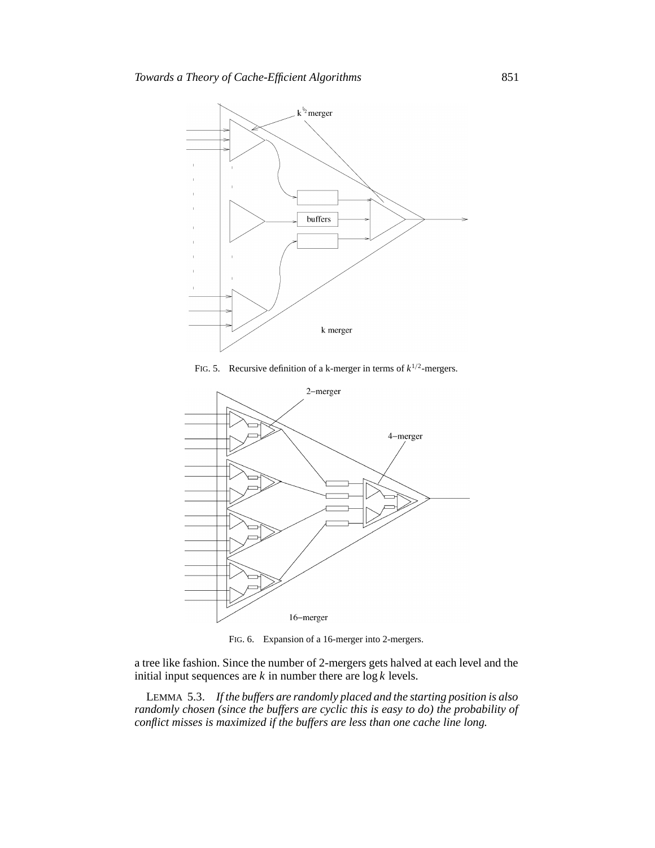

FIG. 5. Recursive definition of a k-merger in terms of  $k^{1/2}$ -mergers.



FIG. 6. Expansion of a 16-merger into 2-mergers.

a tree like fashion. Since the number of 2-mergers gets halved at each level and the initial input sequences are  $k$  in number there are  $\log k$  levels.

LEMMA 5.3. *If the buffers are randomly placed and the starting position is also randomly chosen (since the buffers are cyclic this is easy to do) the probability of conflict misses is maximized if the buffers are less than one cache line long.*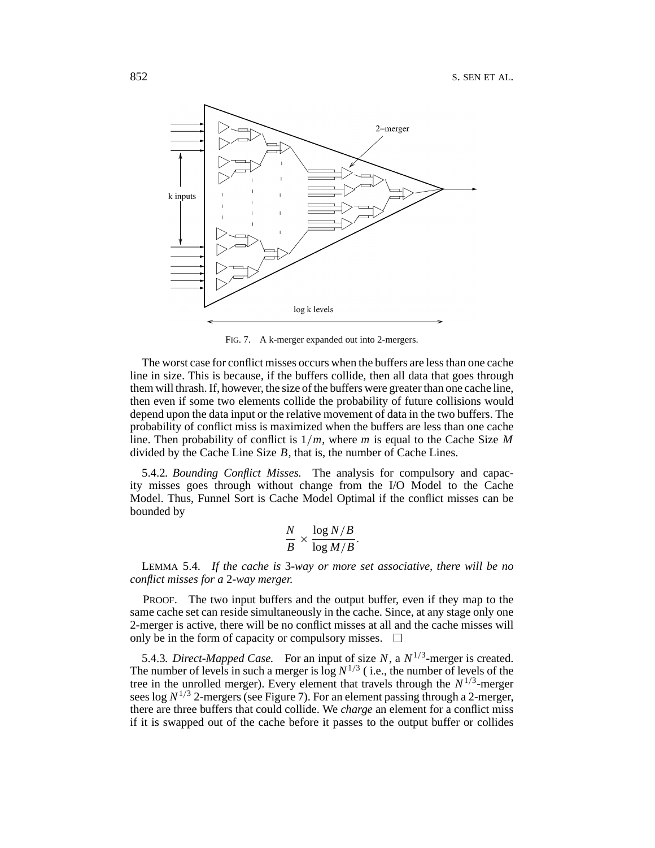

FIG. 7. A k-merger expanded out into 2-mergers.

The worst case for conflict misses occurs when the buffers are less than one cache line in size. This is because, if the buffers collide, then all data that goes through them will thrash. If, however, the size of the buffers were greater than one cache line, then even if some two elements collide the probability of future collisions would depend upon the data input or the relative movement of data in the two buffers. The probability of conflict miss is maximized when the buffers are less than one cache line. Then probability of conflict is 1/*m*, where *m* is equal to the Cache Size *M* divided by the Cache Line Size *B*, that is, the number of Cache Lines.

5.4.2*. Bounding Conflict Misses.* The analysis for compulsory and capacity misses goes through without change from the I/O Model to the Cache Model. Thus, Funnel Sort is Cache Model Optimal if the conflict misses can be bounded by

$$
\frac{N}{B} \times \frac{\log N/B}{\log M/B}.
$$

LEMMA 5.4. *If the cache is* 3*-way or more set associative, there will be no conflict misses for a* 2*-way merger.*

PROOF. The two input buffers and the output buffer, even if they map to the same cache set can reside simultaneously in the cache. Since, at any stage only one 2-merger is active, there will be no conflict misses at all and the cache misses will only be in the form of capacity or compulsory misses.  $\Box$ 

5.4.3*. Direct-Mapped Case.* For an input of size *N*, a *N*<sup>1</sup>/3-merger is created. The number of levels in such a merger is  $\log N^{1/3}$  (i.e., the number of levels of the tree in the unrolled merger). Every element that travels through the  $N^{1/3}$ -merger sees  $\log N^{1/3}$  2-mergers (see Figure 7). For an element passing through a 2-merger, there are three buffers that could collide. We *charge* an element for a conflict miss if it is swapped out of the cache before it passes to the output buffer or collides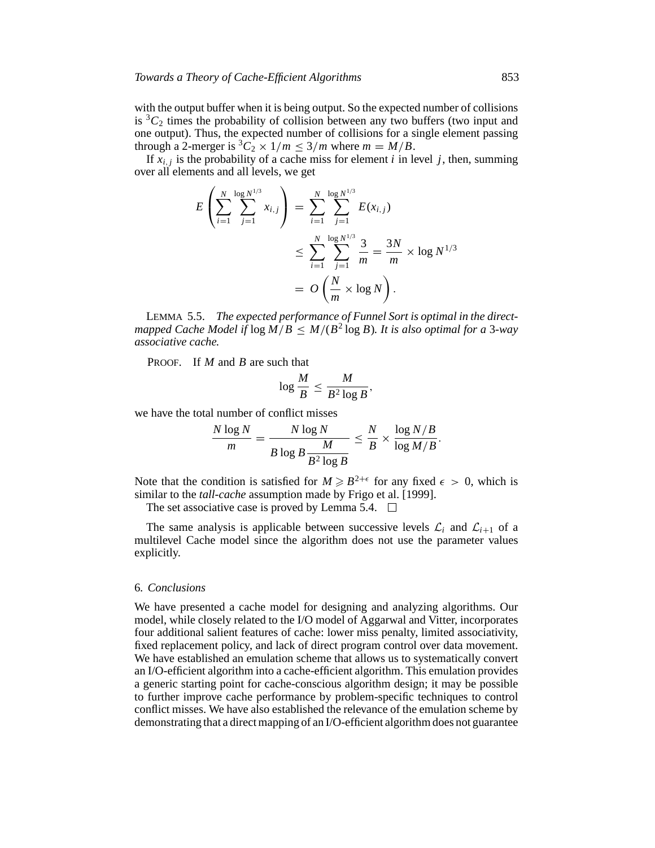with the output buffer when it is being output. So the expected number of collisions is  ${}^3C_2$  times the probability of collision between any two buffers (two input and one output). Thus, the expected number of collisions for a single element passing through a 2-merger is  ${}^3C_2 \times 1/m \leq 3/m$  where  $m = M/B$ .

If  $x_{i,j}$  is the probability of a cache miss for element *i* in level *j*, then, summing over all elements and all levels, we get

$$
E\left(\sum_{i=1}^{N} \sum_{j=1}^{\log N^{1/3}} x_{i,j}\right) = \sum_{i=1}^{N} \sum_{j=1}^{\log N^{1/3}} E(x_{i,j})
$$
  

$$
\leq \sum_{i=1}^{N} \sum_{j=1}^{\log N^{1/3}} \frac{3}{m} = \frac{3N}{m} \times \log N^{1/3}
$$
  

$$
= O\left(\frac{N}{m} \times \log N\right).
$$

LEMMA 5.5. *The expected performance of Funnel Sort is optimal in the directmapped Cache Model if*  $\log M/B \leq M/(B^2 \log B)$ *. It is also optimal for a* 3*-way associative cache.*

PROOF. If *M* and *B* are such that

$$
\log \frac{M}{B} \leq \frac{M}{B^2 \log B},
$$

we have the total number of conflict misses

$$
\frac{N\log N}{m} = \frac{N\log N}{B\log B \frac{M}{B^2\log B}} \le \frac{N}{B} \times \frac{\log N/B}{\log M/B}.
$$

Note that the condition is satisfied for  $M \ge B^{2+\epsilon}$  for any fixed  $\epsilon > 0$ , which is similar to the *tall-cache* assumption made by Frigo et al. [1999].

The set associative case is proved by Lemma 5.4.  $\Box$ 

The same analysis is applicable between successive levels  $\mathcal{L}_i$  and  $\mathcal{L}_{i+1}$  of a multilevel Cache model since the algorithm does not use the parameter values explicitly.

### 6*. Conclusions*

We have presented a cache model for designing and analyzing algorithms. Our model, while closely related to the I/O model of Aggarwal and Vitter, incorporates four additional salient features of cache: lower miss penalty, limited associativity, fixed replacement policy, and lack of direct program control over data movement. We have established an emulation scheme that allows us to systematically convert an I/O-efficient algorithm into a cache-efficient algorithm. This emulation provides a generic starting point for cache-conscious algorithm design; it may be possible to further improve cache performance by problem-specific techniques to control conflict misses. We have also established the relevance of the emulation scheme by demonstrating that a direct mapping of an I/O-efficient algorithm does not guarantee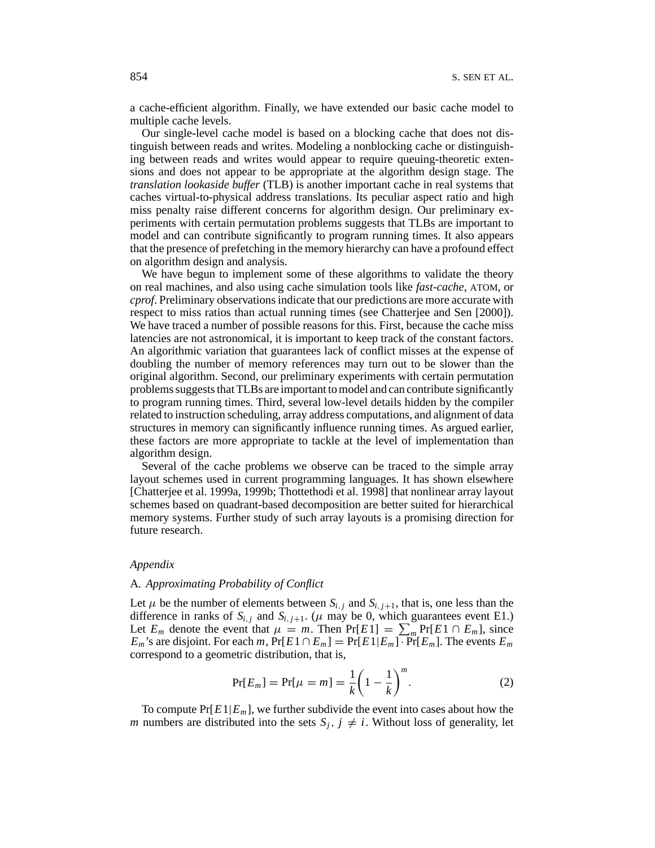a cache-efficient algorithm. Finally, we have extended our basic cache model to multiple cache levels.

Our single-level cache model is based on a blocking cache that does not distinguish between reads and writes. Modeling a nonblocking cache or distinguishing between reads and writes would appear to require queuing-theoretic extensions and does not appear to be appropriate at the algorithm design stage. The *translation lookaside buffer* (TLB) is another important cache in real systems that caches virtual-to-physical address translations. Its peculiar aspect ratio and high miss penalty raise different concerns for algorithm design. Our preliminary experiments with certain permutation problems suggests that TLBs are important to model and can contribute significantly to program running times. It also appears that the presence of prefetching in the memory hierarchy can have a profound effect on algorithm design and analysis.

We have begun to implement some of these algorithms to validate the theory on real machines, and also using cache simulation tools like *fast-cache*, ATOM, or *cprof*. Preliminary observations indicate that our predictions are more accurate with respect to miss ratios than actual running times (see Chatterjee and Sen [2000]). We have traced a number of possible reasons for this. First, because the cache miss latencies are not astronomical, it is important to keep track of the constant factors. An algorithmic variation that guarantees lack of conflict misses at the expense of doubling the number of memory references may turn out to be slower than the original algorithm. Second, our preliminary experiments with certain permutation problems suggests that TLBs are important to model and can contribute significantly to program running times. Third, several low-level details hidden by the compiler related to instruction scheduling, array address computations, and alignment of data structures in memory can significantly influence running times. As argued earlier, these factors are more appropriate to tackle at the level of implementation than algorithm design.

Several of the cache problems we observe can be traced to the simple array layout schemes used in current programming languages. It has shown elsewhere [Chatterjee et al. 1999a, 1999b; Thottethodi et al. 1998] that nonlinear array layout schemes based on quadrant-based decomposition are better suited for hierarchical memory systems. Further study of such array layouts is a promising direction for future research.

#### *Appendix*

# A*. Approximating Probability of Conflict*

Let  $\mu$  be the number of elements between  $S_{i,j}$  and  $S_{i,j+1}$ , that is, one less than the difference in ranks of  $S_{i,j}$  and  $S_{i,j+1}$ . ( $\mu$  may be 0, which guarantees event E1.) Let  $E_m$  denote the event that  $\mu = m$ . Then  $Pr[E1] = \sum_m Pr[E1 \cap E_m]$ , since *E<sub>m</sub>*'s are disjoint. For each *m*,  $Pr[E1 \cap E_m] = Pr[E1|E_m] \cdot Pr[E_m]$ . The events  $E_m$ correspond to a geometric distribution, that is,

$$
Pr[E_m] = Pr[\mu = m] = \frac{1}{k} \left( 1 - \frac{1}{k} \right)^m.
$$
 (2)

To compute  $Pr[E1|E_m]$ , we further subdivide the event into cases about how the *m* numbers are distributed into the sets  $S_i$ ,  $j \neq i$ . Without loss of generality, let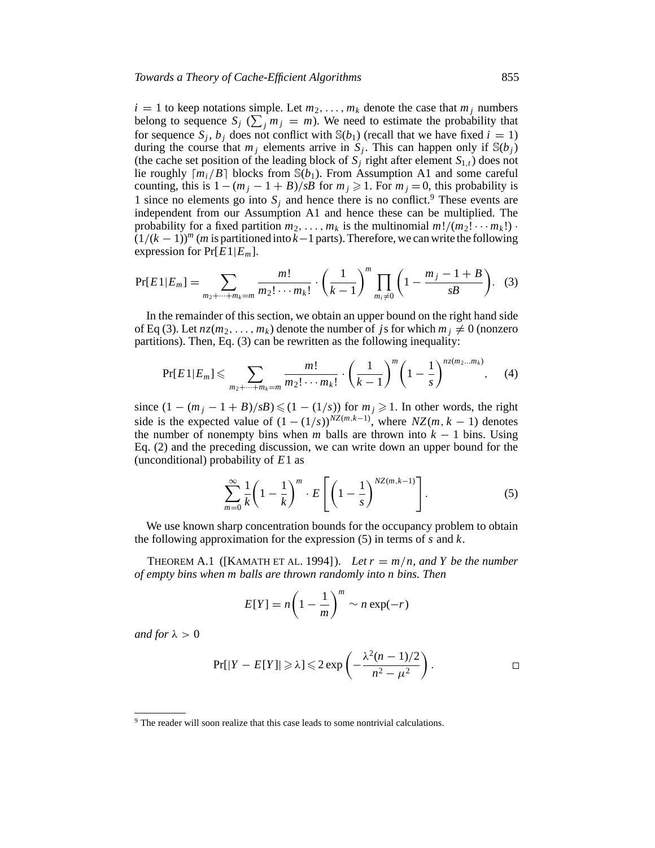$i = 1$  to keep notations simple. Let  $m_2, \ldots, m_k$  denote the case that  $m_j$  numbers belong to sequence  $S_j$  ( $\sum_j m_j = m$ ). We need to estimate the probability that for sequence  $S_j$ ,  $b_j$  does not conflict with  $\mathcal{S}(b_1)$  (recall that we have fixed  $i = 1$ ) during the course that  $m_j$  elements arrive in  $S_j$ . This can happen only if  $\mathcal{S}(b_j)$ (the cache set position of the leading block of  $S_i$  right after element  $S_{1,t}$ ) does not lie roughly  $\lceil m_i/B \rceil$  blocks from  $\mathcal{S}(b_1)$ . From Assumption A1 and some careful counting, this is  $1 - (m_j - 1 + B)/sB$  for  $m_j \ge 1$ . For  $m_j = 0$ , this probability is 1 since no elements go into  $S_i$  and hence there is no conflict.<sup>9</sup> These events are independent from our Assumption A1 and hence these can be multiplied. The probability for a fixed partition  $m_2, \ldots, m_k$  is the multinomial  $m!/(m_2! \cdots m_k!)$ . (1/(*k* − 1))*<sup>m</sup>* (*m* is partitioned into *k*−1 parts). Therefore, we can write the following expression for Pr[*E*1|*Em*].

$$
\Pr[E1|E_m] = \sum_{m_2 + \dots + m_k = m} \frac{m!}{m_2! \cdots m_k!} \cdot \left(\frac{1}{k-1}\right)^m \prod_{m_i \neq 0} \left(1 - \frac{m_j - 1 + B}{sB}\right). \tag{3}
$$

In the remainder of this section, we obtain an upper bound on the right hand side of Eq (3). Let  $nz(m_2,..., m_k)$  denote the number of *js* for which  $m_i \neq 0$  (nonzero partitions). Then, Eq. (3) can be rewritten as the following inequality:

$$
\Pr[E1|E_m] \leqslant \sum_{m_2 + \dots + m_k = m} \frac{m!}{m_2! \cdots m_k!} \cdot \left(\frac{1}{k-1}\right)^m \left(1 - \frac{1}{s}\right)^{n_2(m_2 \dots m_k)},\quad (4)
$$

since  $(1 - (m_j - 1 + B)/sB)$  ≤  $(1 - (1/s))$  for  $m_j$  ≥ 1. In other words, the right side is the expected value of  $(1 - (1/s))^{NZ(m,k-1)}$ , where  $NZ(m, k-1)$  denotes the number of nonempty bins when *m* balls are thrown into  $k - 1$  bins. Using Eq. (2) and the preceding discussion, we can write down an upper bound for the (unconditional) probability of *E*1 as

$$
\sum_{m=0}^{\infty} \frac{1}{k} \left( 1 - \frac{1}{k} \right)^m \cdot E\left[ \left( 1 - \frac{1}{s} \right)^{NZ(m,k-1)} \right].
$$
 (5)

We use known sharp concentration bounds for the occupancy problem to obtain the following approximation for the expression (5) in terms of *s* and *k*.

THEOREM A.1 ([KAMATH ET AL. 1994]). Let  $r = m/n$ , and Y be the number *of empty bins when m balls are thrown randomly into n bins. Then*

$$
E[Y] = n \left(1 - \frac{1}{m}\right)^m \sim n \exp(-r)
$$

*and for*  $\lambda > 0$ 

$$
\Pr[|Y - E[Y]| \geq \lambda] \leq 2 \exp\left(-\frac{\lambda^2(n-1)/2}{n^2 - \mu^2}\right).
$$

<sup>&</sup>lt;sup>9</sup> The reader will soon realize that this case leads to some nontrivial calculations.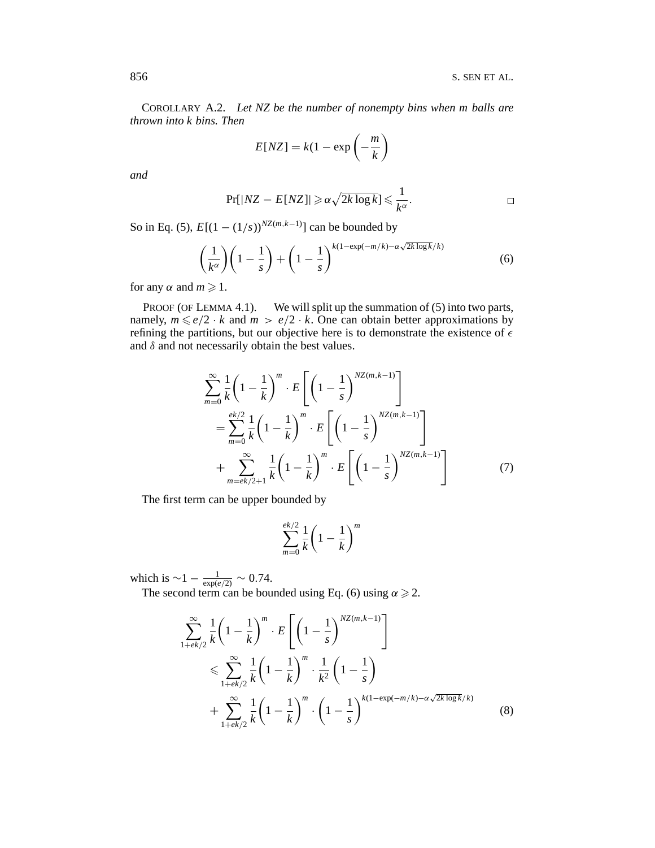COROLLARY A.2. *Let NZ be the number of nonempty bins when m balls are thrown into k bins. Then*

$$
E[NZ] = k(1 - \exp\left(-\frac{m}{k}\right)
$$

*and*

$$
\Pr[|NZ - E[NZ]| \ge \alpha \sqrt{2k \log k}] \le \frac{1}{k^{\alpha}}.
$$

So in Eq. (5),  $E[(1 - (1/s))^{NZ(m,k-1)}]$  can be bounded by

$$
\left(\frac{1}{k^{\alpha}}\right)\left(1-\frac{1}{s}\right)+\left(1-\frac{1}{s}\right)^{k(1-\exp(-m/k)-\alpha\sqrt{2k\log k}/k)}\tag{6}
$$

for any  $\alpha$  and  $m \geq 1$ .

PROOF (OF LEMMA 4.1). We will split up the summation of (5) into two parts, namely,  $m \le e/2 \cdot k$  and  $m > e/2 \cdot k$ . One can obtain better approximations by refining the partitions, but our objective here is to demonstrate the existence of  $\epsilon$ and  $\delta$  and not necessarily obtain the best values.

$$
\sum_{m=0}^{\infty} \frac{1}{k} \left( 1 - \frac{1}{k} \right)^m \cdot E \left[ \left( 1 - \frac{1}{s} \right)^{NZ(m,k-1)} \right]
$$
  
= 
$$
\sum_{m=0}^{ek/2} \frac{1}{k} \left( 1 - \frac{1}{k} \right)^m \cdot E \left[ \left( 1 - \frac{1}{s} \right)^{NZ(m,k-1)} \right]
$$
  
+ 
$$
\sum_{m=ek/2+1}^{\infty} \frac{1}{k} \left( 1 - \frac{1}{k} \right)^m \cdot E \left[ \left( 1 - \frac{1}{s} \right)^{NZ(m,k-1)} \right]
$$
(7)

The first term can be upper bounded by

$$
\sum_{m=0}^{ek/2} \frac{1}{k} \left( 1 - \frac{1}{k} \right)^m
$$

which is  $\sim$ 1 –  $\frac{1}{\exp(e/2)} \sim 0.74$ .

The second term can be bounded using Eq. (6) using  $\alpha \ge 2$ .

$$
\sum_{1+ek/2}^{\infty} \frac{1}{k} \left( 1 - \frac{1}{k} \right)^m \cdot E \left[ \left( 1 - \frac{1}{s} \right)^{NZ(m,k-1)} \right]
$$
\n
$$
\leqslant \sum_{1+ek/2}^{\infty} \frac{1}{k} \left( 1 - \frac{1}{k} \right)^m \cdot \frac{1}{k^2} \left( 1 - \frac{1}{s} \right)
$$
\n
$$
+ \sum_{1+ek/2}^{\infty} \frac{1}{k} \left( 1 - \frac{1}{k} \right)^m \cdot \left( 1 - \frac{1}{s} \right)^{k(1-\exp(-m/k)-\alpha\sqrt{2k\log k/k})} \tag{8}
$$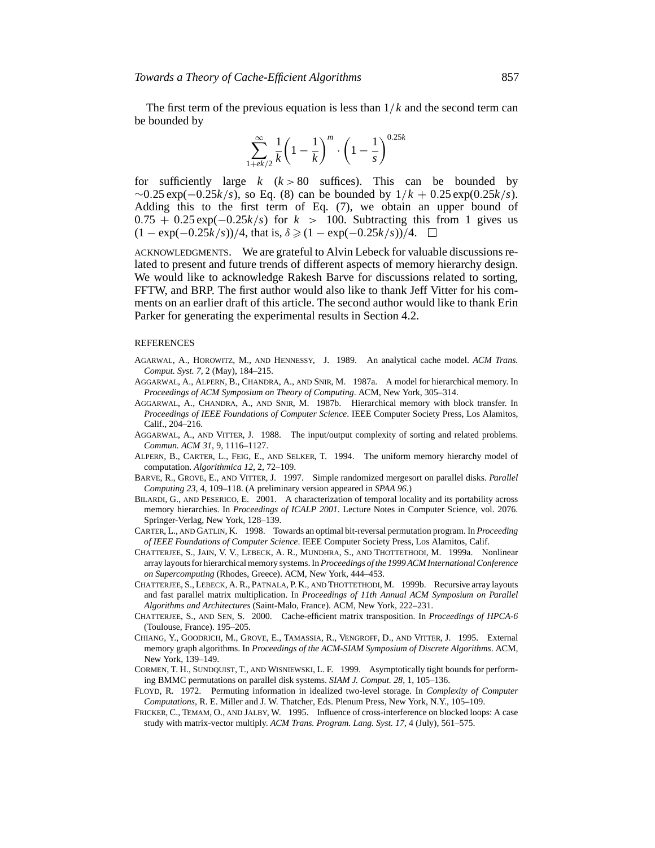The first term of the previous equation is less than  $1/k$  and the second term can be bounded by

$$
\sum_{1+ek/2}^{\infty} \frac{1}{k} \left(1 - \frac{1}{k}\right)^m \cdot \left(1 - \frac{1}{s}\right)^{0.25k}
$$

for sufficiently large  $k$   $(k > 80$  suffices). This can be bounded by ∼0.25 exp(−0.25*k*/*s*), so Eq. (8) can be bounded by 1/*k* + 0.25 exp(0.25*k*/*s*). Adding this to the first term of Eq. (7), we obtain an upper bound of  $0.75 + 0.25 \exp(-0.25k/s)$  for  $k > 100$ . Subtracting this from 1 gives us  $(1 - \exp(-0.25k/s))/4$ , that is,  $\delta \ge (1 - \exp(-0.25k/s))/4$ . □

ACKNOWLEDGMENTS. We are grateful to Alvin Lebeck for valuable discussions related to present and future trends of different aspects of memory hierarchy design. We would like to acknowledge Rakesh Barve for discussions related to sorting, FFTW, and BRP. The first author would also like to thank Jeff Vitter for his comments on an earlier draft of this article. The second author would like to thank Erin Parker for generating the experimental results in Section 4.2.

#### REFERENCES

- AGARWAL, A., HOROWITZ, M., AND HENNESSY, J. 1989. An analytical cache model. *ACM Trans. Comput. Syst. 7*, 2 (May), 184–215.
- AGGARWAL, A., ALPERN, B., CHANDRA, A., AND SNIR, M. 1987a. A model for hierarchical memory. In *Proceedings of ACM Symposium on Theory of Computing*. ACM, New York, 305–314.
- AGGARWAL, A., CHANDRA, A., AND SNIR, M. 1987b. Hierarchical memory with block transfer. In *Proceedings of IEEE Foundations of Computer Science*. IEEE Computer Society Press, Los Alamitos, Calif., 204–216.
- AGGARWAL, A., AND VITTER, J. 1988. The input/output complexity of sorting and related problems. *Commun. ACM 31*, 9, 1116–1127.
- ALPERN, B., CARTER, L., FEIG, E., AND SELKER, T. 1994. The uniform memory hierarchy model of computation. *Algorithmica 12*, 2, 72–109.
- BARVE, R., GROVE, E., AND VITTER, J. 1997. Simple randomized mergesort on parallel disks. *Parallel Computing 23*, 4, 109–118. (A preliminary version appeared in *SPAA 96*.)
- BILARDI, G., AND PESERICO, E. 2001. A characterization of temporal locality and its portability across memory hierarchies. In *Proceedings of ICALP 2001*. Lecture Notes in Computer Science, vol. 2076. Springer-Verlag, New York, 128–139.
- CARTER, L., AND GATLIN, K. 1998. Towards an optimal bit-reversal permutation program. In *Proceeding of IEEE Foundations of Computer Science*. IEEE Computer Society Press, Los Alamitos, Calif.
- CHATTERJEE, S., JAIN, V. V., LEBECK, A. R., MUNDHRA, S., AND THOTTETHODI, M. 1999a. Nonlinear array layouts for hierarchical memory systems. In*Proceedings of the 1999 ACM International Conference on Supercomputing* (Rhodes, Greece). ACM, New York, 444–453.
- CHATTERJEE, S., LEBECK, A. R., PATNALA, P. K., AND THOTTETHODI, M. 1999b. Recursive array layouts and fast parallel matrix multiplication. In *Proceedings of 11th Annual ACM Symposium on Parallel Algorithms and Architectures* (Saint-Malo, France). ACM, New York, 222–231.
- CHATTERJEE, S., AND SEN, S. 2000. Cache-efficient matrix transposition. In *Proceedings of HPCA-6* (Toulouse, France). 195–205.
- CHIANG, Y., GOODRICH, M., GROVE, E., TAMASSIA, R., VENGROFF, D., AND VITTER, J. 1995. External memory graph algorithms. In *Proceedings of the ACM-SIAM Symposium of Discrete Algorithms*. ACM, New York, 139–149.
- CORMEN, T. H., SUNDQUIST, T., AND WISNIEWSKI, L. F. 1999. Asymptotically tight bounds for performing BMMC permutations on parallel disk systems. *SIAM J. Comput. 28*, 1, 105–136.
- FLOYD, R. 1972. Permuting information in idealized two-level storage. In *Complexity of Computer Computations*, R. E. Miller and J. W. Thatcher, Eds. Plenum Press, New York, N.Y., 105–109.
- FRICKER, C., TEMAM, O., AND JALBY, W. 1995. Influence of cross-interference on blocked loops: A case study with matrix-vector multiply. *ACM Trans. Program. Lang. Syst. 17*, 4 (July), 561–575.